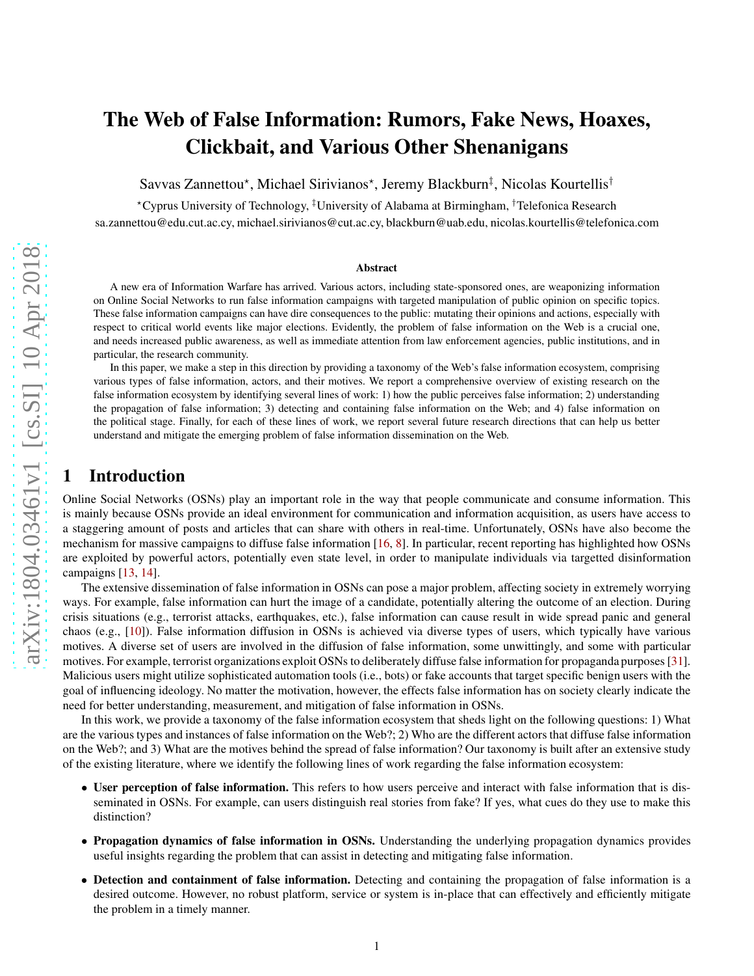# The Web of False Information: Rumors, Fake News, Hoaxes, Clickbait, and Various Other Shenanigans

Savvas Zannettou\*, Michael Sirivianos\*, Jeremy Blackburn<sup>‡</sup>, Nicolas Kourtellis<sup>†</sup>

<sup>⋆</sup>Cyprus University of Technology, ‡University of Alabama at Birmingham, †Telefonica Research

sa.zannettou@edu.cut.ac.cy, michael.sirivianos@cut.ac.cy, blackburn@uab.edu, nicolas.kourtellis@telefonica.com

#### Abstract

A new era of Information Warfare has arrived. Various actors, including state-sponsored ones, are weaponizing information on Online Social Networks to run false information campaigns with targeted manipulation of public opinion on specific topics. These false information campaigns can have dire consequences to the public: mutating their opinions and actions, especially with respect to critical world events like major elections. Evidently, the problem of false information on the Web is a crucial one, and needs increased public awareness, as well as immediate attention from law enforcement agencies, public institutions, and in particular, the research community.

In this paper, we make a step in this direction by providing a taxonomy of the Web's false information ecosystem, comprising various types of false information, actors, and their motives. We report a comprehensive overview of existing research on the false information ecosystem by identifying several lines of work: 1) how the public perceives false information; 2) understanding the propagation of false information; 3) detecting and containing false information on the Web; and 4) false information on the political stage. Finally, for each of these lines of work, we report several future research directions that can help us better understand and mitigate the emerging problem of false information dissemination on the Web.

# 1 Introduction

Online Social Networks (OSNs) play an important role in the way that people communicate and consume information. This is mainly because OSNs provide an ideal environment for communication and information acquisition, as users have access to a staggering amount of posts and articles that can share with others in real-time. Unfortunately, OSNs have also become the mechanism for massive campaigns to diffuse false information [\[16](#page-19-0) , [8\]](#page-19-1). In particular, recent reporting has highlighted how OSNs are exploited by powerful actors, potentially even state level, in order to manipulate individuals via targetted disinformation campaigns [\[13](#page-19-2) , [14\]](#page-19-3).

The extensive dissemination of false information in OSNs can pose a major problem, affecting society in extremely worrying ways. For example, false information can hurt the image of a candidate, potentially altering the outcome of an election. During crisis situations (e.g., terrorist attacks, earthquakes, etc.), false information can cause result in wide spread panic and general chaos (e.g., [\[10\]](#page-19-4)). False information diffusion in OSNs is achieved via diverse types of users, which typically have various motives. A diverse set of users are involved in the diffusion of false information, some unwittingly, and some with particular motives. For example, terrorist organizations exploit OSNs to deliberately diffuse false information for propaganda purposes [\[31\]](#page-20-0). Malicious users might utilize sophisticated automation tools (i.e., bots) or fake accounts that target specific benign users with the goal of influencing ideology. No matter the motivation, however, the effects false information has on society clearly indicate the need for better understanding, measurement, and mitigation of false information in OSNs.

In this work, we provide a taxonomy of the false information ecosystem that sheds light on the following questions: 1) Wha t are the various types and instances of false information on the Web?; 2) Who are the different actors that diffuse false information on the Web?; and 3) What are the motives behind the spread of false information? Our taxonomy is built after an extensive study of the existing literature, where we identify the following lines of work regarding the false information ecosystem:

- User perception of false information. This refers to how users perceive and interact with false information that is disseminated in OSNs. For example, can users distinguish real stories from fake? If yes, what cues do they use to make this distinction?
- Propagation dynamics of false information in OSNs. Understanding the underlying propagation dynamics provides useful insights regarding the problem that can assist in detecting and mitigating false information.
- Detection and containment of false information. Detecting and containing the propagation of false information is a desired outcome. However, no robust platform, service or system is in-place that can effectively and efficiently mitigate the problem in a timely manner.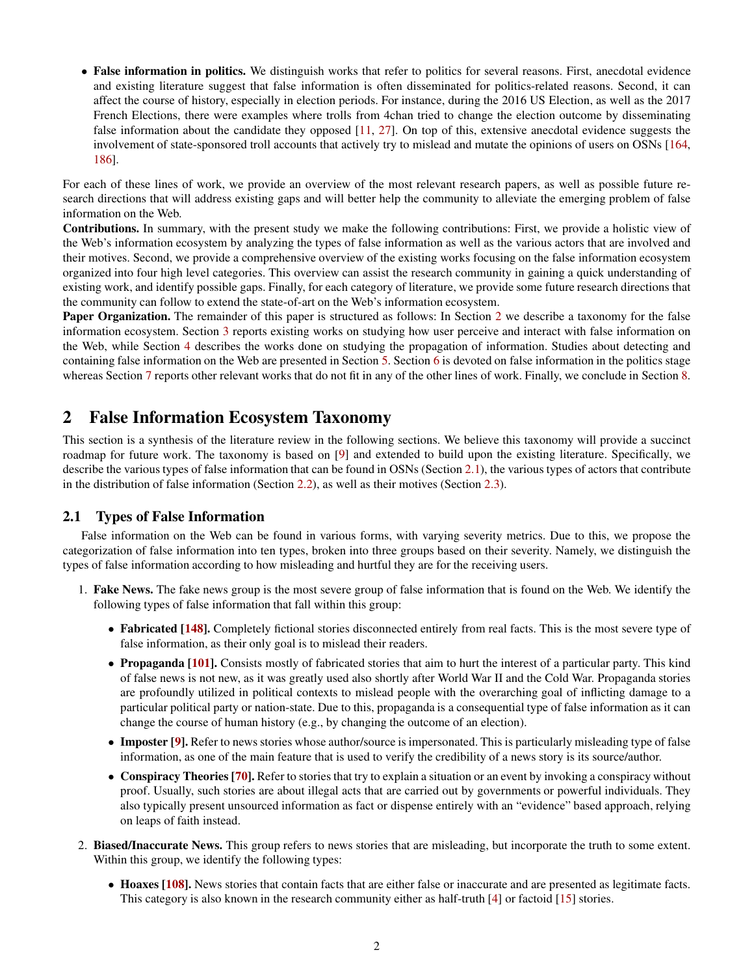• False information in politics. We distinguish works that refer to politics for several reasons. First, anecdotal evidence and existing literature suggest that false information is often disseminated for politics-related reasons. Second, it can affect the course of history, especially in election periods. For instance, during the 2016 US Election, as well as the 2017 French Elections, there were examples where trolls from 4chan tried to change the election outcome by disseminating false information about the candidate they opposed [\[11,](#page-19-5) [27\]](#page-20-1). On top of this, extensive anecdotal evidence suggests the involvement of state-sponsored troll accounts that actively try to mislead and mutate the opinions of users on OSNs [\[164,](#page-24-0) [186\]](#page-24-1).

For each of these lines of work, we provide an overview of the most relevant research papers, as well as possible future research directions that will address existing gaps and will better help the community to alleviate the emerging problem of false information on the Web.

Contributions. In summary, with the present study we make the following contributions: First, we provide a holistic view of the Web's information ecosystem by analyzing the types of false information as well as the various actors that are involved and their motives. Second, we provide a comprehensive overview of the existing works focusing on the false information ecosystem organized into four high level categories. This overview can assist the research community in gaining a quick understanding of existing work, and identify possible gaps. Finally, for each category of literature, we provide some future research directions that the community can follow to extend the state-of-art on the Web's information ecosystem.

Paper Organization. The remainder of this paper is structured as follows: In Section [2](#page-1-0) we describe a taxonomy for the false information ecosystem. Section [3](#page-3-0) reports existing works on studying how user perceive and interact with false information on the Web, while Section [4](#page-5-0) describes the works done on studying the propagation of information. Studies about detecting and containing false information on the Web are presented in Section [5.](#page-8-0) Section [6](#page-14-0) is devoted on false information in the politics stage whereas Section [7](#page-17-0) reports other relevant works that do not fit in any of the other lines of work. Finally, we conclude in Section [8.](#page-19-6)

# <span id="page-1-0"></span>2 False Information Ecosystem Taxonomy

This section is a synthesis of the literature review in the following sections. We believe this taxonomy will provide a succinct roadmap for future work. The taxonomy is based on [\[9\]](#page-19-7) and extended to build upon the existing literature. Specifically, we describe the various types of false information that can be found in OSNs (Section [2.1\)](#page-1-1), the various types of actors that contribute in the distribution of false information (Section [2.2\)](#page-2-0), as well as their motives (Section [2.3\)](#page-3-1).

### <span id="page-1-1"></span>2.1 Types of False Information

False information on the Web can be found in various forms, with varying severity metrics. Due to this, we propose the categorization of false information into ten types, broken into three groups based on their severity. Namely, we distinguish the types of false information according to how misleading and hurtful they are for the receiving users.

- 1. Fake News. The fake news group is the most severe group of false information that is found on the Web. We identify the following types of false information that fall within this group:
	- Fabricated [\[148\]](#page-23-0). Completely fictional stories disconnected entirely from real facts. This is the most severe type of false information, as their only goal is to mislead their readers.
	- Propaganda [\[101\]](#page-22-0). Consists mostly of fabricated stories that aim to hurt the interest of a particular party. This kind of false news is not new, as it was greatly used also shortly after World War II and the Cold War. Propaganda stories are profoundly utilized in political contexts to mislead people with the overarching goal of inflicting damage to a particular political party or nation-state. Due to this, propaganda is a consequential type of false information as it can change the course of human history (e.g., by changing the outcome of an election).
	- Imposter [\[9\]](#page-19-7). Refer to news stories whose author/source is impersonated. This is particularly misleading type of false information, as one of the main feature that is used to verify the credibility of a news story is its source/author.
	- Conspiracy Theories [\[70\]](#page-21-0). Refer to stories that try to explain a situation or an event by invoking a conspiracy without proof. Usually, such stories are about illegal acts that are carried out by governments or powerful individuals. They also typically present unsourced information as fact or dispense entirely with an "evidence" based approach, relying on leaps of faith instead.
- 2. Biased/Inaccurate News. This group refers to news stories that are misleading, but incorporate the truth to some extent. Within this group, we identify the following types:
	- Hoaxes [\[108\]](#page-22-1). News stories that contain facts that are either false or inaccurate and are presented as legitimate facts. This category is also known in the research community either as half-truth [\[4\]](#page-19-8) or factoid [\[15\]](#page-19-9) stories.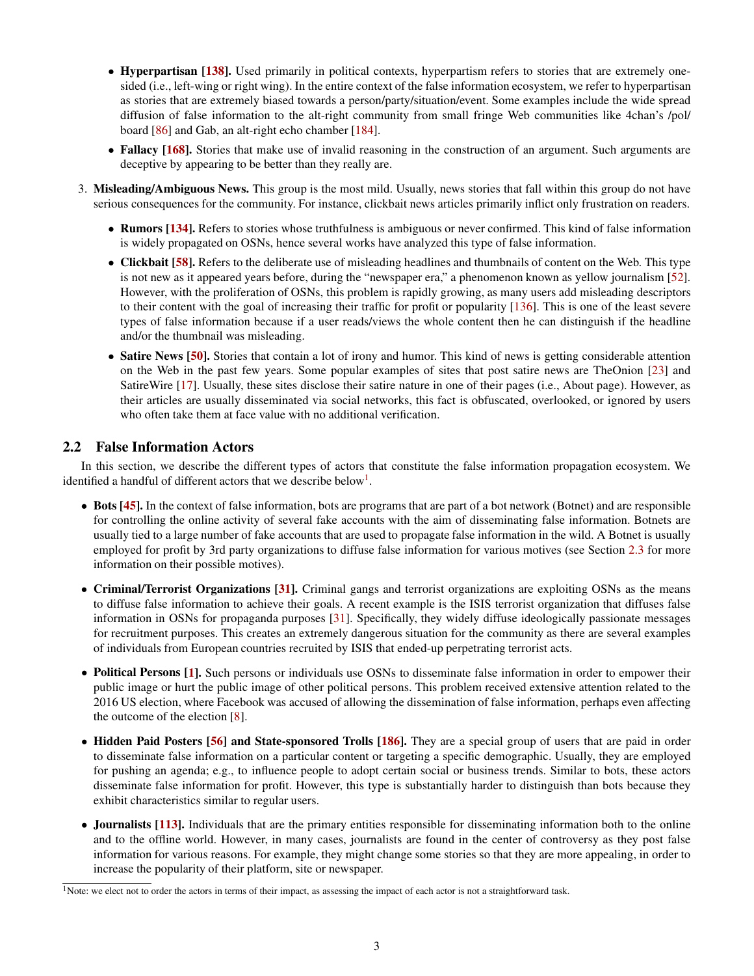- Hyperpartisan [\[138\]](#page-23-1). Used primarily in political contexts, hyperpartism refers to stories that are extremely onesided (i.e., left-wing or right wing). In the entire context of the false information ecosystem, we refer to hyperpartisan as stories that are extremely biased towards a person/party/situation/event. Some examples include the wide spread diffusion of false information to the alt-right community from small fringe Web communities like 4chan's /pol/ board [\[86\]](#page-21-1) and Gab, an alt-right echo chamber [\[184\]](#page-24-2).
- Fallacy [\[168\]](#page-24-3). Stories that make use of invalid reasoning in the construction of an argument. Such arguments are deceptive by appearing to be better than they really are.
- 3. Misleading/Ambiguous News. This group is the most mild. Usually, news stories that fall within this group do not have serious consequences for the community. For instance, clickbait news articles primarily inflict only frustration on readers.
	- Rumors [\[134\]](#page-23-2). Refers to stories whose truthfulness is ambiguous or never confirmed. This kind of false information is widely propagated on OSNs, hence several works have analyzed this type of false information.
	- Clickbait [\[58\]](#page-21-2). Refers to the deliberate use of misleading headlines and thumbnails of content on the Web. This type is not new as it appeared years before, during the "newspaper era," a phenomenon known as yellow journalism [\[52\]](#page-20-2). However, with the proliferation of OSNs, this problem is rapidly growing, as many users add misleading descriptors to their content with the goal of increasing their traffic for profit or popularity [\[136\]](#page-23-3). This is one of the least severe types of false information because if a user reads/views the whole content then he can distinguish if the headline and/or the thumbnail was misleading.
	- Satire News [\[50\]](#page-20-3). Stories that contain a lot of irony and humor. This kind of news is getting considerable attention on the Web in the past few years. Some popular examples of sites that post satire news are TheOnion [\[23\]](#page-20-4) and SatireWire [\[17\]](#page-19-10). Usually, these sites disclose their satire nature in one of their pages (i.e., About page). However, as their articles are usually disseminated via social networks, this fact is obfuscated, overlooked, or ignored by users who often take them at face value with no additional verification.

### <span id="page-2-0"></span>2.2 False Information Actors

In this section, we describe the different types of actors that constitute the false information propagation ecosystem. We identified a handful of different actors that we describe below<sup>[1](#page-2-1)</sup>.

- Bots [\[45\]](#page-20-5). In the context of false information, bots are programs that are part of a bot network (Botnet) and are responsible for controlling the online activity of several fake accounts with the aim of disseminating false information. Botnets are usually tied to a large number of fake accounts that are used to propagate false information in the wild. A Botnet is usually employed for profit by 3rd party organizations to diffuse false information for various motives (see Section [2.3](#page-3-1) for more information on their possible motives).
- Criminal/Terrorist Organizations [\[31\]](#page-20-0). Criminal gangs and terrorist organizations are exploiting OSNs as the means to diffuse false information to achieve their goals. A recent example is the ISIS terrorist organization that diffuses false information in OSNs for propaganda purposes [\[31\]](#page-20-0). Specifically, they widely diffuse ideologically passionate messages for recruitment purposes. This creates an extremely dangerous situation for the community as there are several examples of individuals from European countries recruited by ISIS that ended-up perpetrating terrorist acts.
- Political Persons [\[1\]](#page-19-11). Such persons or individuals use OSNs to disseminate false information in order to empower their public image or hurt the public image of other political persons. This problem received extensive attention related to the 2016 US election, where Facebook was accused of allowing the dissemination of false information, perhaps even affecting the outcome of the election [\[8\]](#page-19-1).
- Hidden Paid Posters [\[56\]](#page-20-6) and State-sponsored Trolls [\[186\]](#page-24-1). They are a special group of users that are paid in order to disseminate false information on a particular content or targeting a specific demographic. Usually, they are employed for pushing an agenda; e.g., to influence people to adopt certain social or business trends. Similar to bots, these actors disseminate false information for profit. However, this type is substantially harder to distinguish than bots because they exhibit characteristics similar to regular users.
- **Journalists** [\[113\]](#page-22-2). Individuals that are the primary entities responsible for disseminating information both to the online and to the offline world. However, in many cases, journalists are found in the center of controversy as they post false information for various reasons. For example, they might change some stories so that they are more appealing, in order to increase the popularity of their platform, site or newspaper.

<span id="page-2-1"></span><sup>&</sup>lt;sup>1</sup>Note: we elect not to order the actors in terms of their impact, as assessing the impact of each actor is not a straightforward task.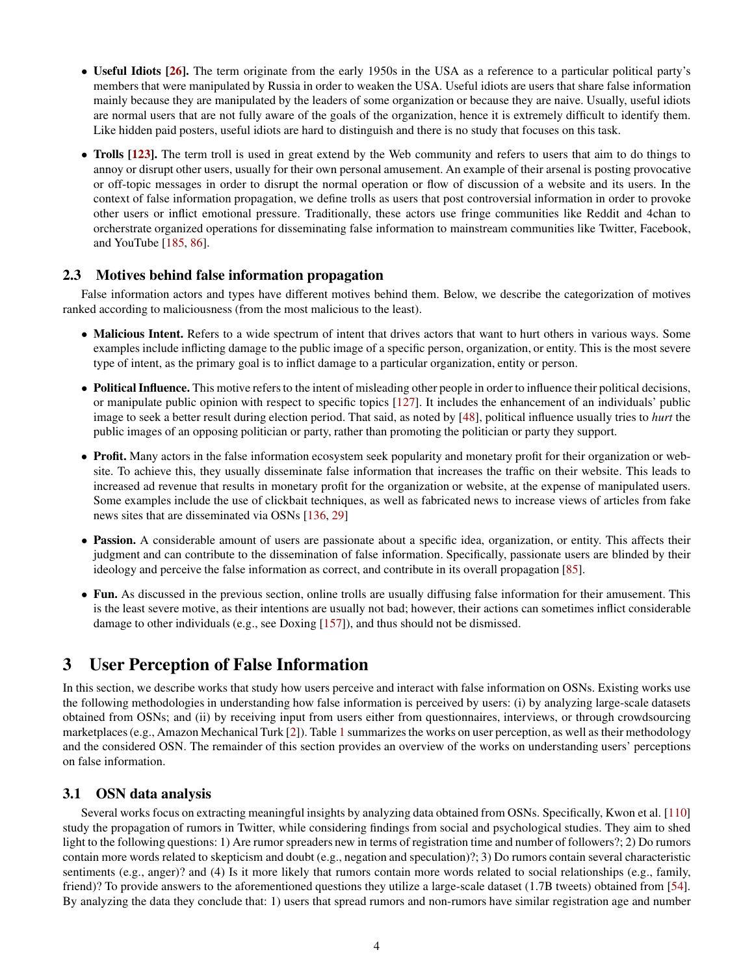- Useful Idiots [\[26\]](#page-20-7). The term originate from the early 1950s in the USA as a reference to a particular political party's members that were manipulated by Russia in order to weaken the USA. Useful idiots are users that share false information mainly because they are manipulated by the leaders of some organization or because they are naive. Usually, useful idiots are normal users that are not fully aware of the goals of the organization, hence it is extremely difficult to identify them. Like hidden paid posters, useful idiots are hard to distinguish and there is no study that focuses on this task.
- Trolls [\[123\]](#page-22-3). The term troll is used in great extend by the Web community and refers to users that aim to do things to annoy or disrupt other users, usually for their own personal amusement. An example of their arsenal is posting provocative or off-topic messages in order to disrupt the normal operation or flow of discussion of a website and its users. In the context of false information propagation, we define trolls as users that post controversial information in order to provoke other users or inflict emotional pressure. Traditionally, these actors use fringe communities like Reddit and 4chan to orcherstrate organized operations for disseminating false information to mainstream communities like Twitter, Facebook, and YouTube [\[185,](#page-24-4) [86\]](#page-21-1).

### <span id="page-3-1"></span>2.3 Motives behind false information propagation

False information actors and types have different motives behind them. Below, we describe the categorization of motives ranked according to maliciousness (from the most malicious to the least).

- Malicious Intent. Refers to a wide spectrum of intent that drives actors that want to hurt others in various ways. Some examples include inflicting damage to the public image of a specific person, organization, or entity. This is the most severe type of intent, as the primary goal is to inflict damage to a particular organization, entity or person.
- Political Influence. This motive refers to the intent of misleading other people in order to influence their political decisions, or manipulate public opinion with respect to specific topics [\[127\]](#page-23-4). It includes the enhancement of an individuals' public image to seek a better result during election period. That said, as noted by [\[48\]](#page-20-8), political influence usually tries to *hurt* the public images of an opposing politician or party, rather than promoting the politician or party they support.
- Profit. Many actors in the false information ecosystem seek popularity and monetary profit for their organization or website. To achieve this, they usually disseminate false information that increases the traffic on their website. This leads to increased ad revenue that results in monetary profit for the organization or website, at the expense of manipulated users. Some examples include the use of clickbait techniques, as well as fabricated news to increase views of articles from fake news sites that are disseminated via OSNs [\[136,](#page-23-3) [29\]](#page-20-9)
- Passion. A considerable amount of users are passionate about a specific idea, organization, or entity. This affects their judgment and can contribute to the dissemination of false information. Specifically, passionate users are blinded by their ideology and perceive the false information as correct, and contribute in its overall propagation [\[85\]](#page-21-3).
- Fun. As discussed in the previous section, online trolls are usually diffusing false information for their amusement. This is the least severe motive, as their intentions are usually not bad; however, their actions can sometimes inflict considerable damage to other individuals (e.g., see Doxing [\[157\]](#page-24-5)), and thus should not be dismissed.

# <span id="page-3-0"></span>3 User Perception of False Information

In this section, we describe works that study how users perceive and interact with false information on OSNs. Existing works use the following methodologies in understanding how false information is perceived by users: (i) by analyzing large-scale datasets obtained from OSNs; and (ii) by receiving input from users either from questionnaires, interviews, or through crowdsourcing marketplaces (e.g., Amazon Mechanical Turk [\[2\]](#page-19-12)). Table [1](#page-4-0) summarizes the works on user perception, as well as their methodology and the considered OSN. The remainder of this section provides an overview of the works on understanding users' perceptions on false information.

### 3.1 OSN data analysis

Several works focus on extracting meaningful insights by analyzing data obtained from OSNs. Specifically, Kwon et al. [\[110\]](#page-22-4) study the propagation of rumors in Twitter, while considering findings from social and psychological studies. They aim to shed light to the following questions: 1) Are rumor spreaders new in terms of registration time and number of followers?; 2) Do rumors contain more words related to skepticism and doubt (e.g., negation and speculation)?; 3) Do rumors contain several characteristic sentiments (e.g., anger)? and (4) Is it more likely that rumors contain more words related to social relationships (e.g., family, friend)? To provide answers to the aforementioned questions they utilize a large-scale dataset (1.7B tweets) obtained from [\[54\]](#page-20-10). By analyzing the data they conclude that: 1) users that spread rumors and non-rumors have similar registration age and number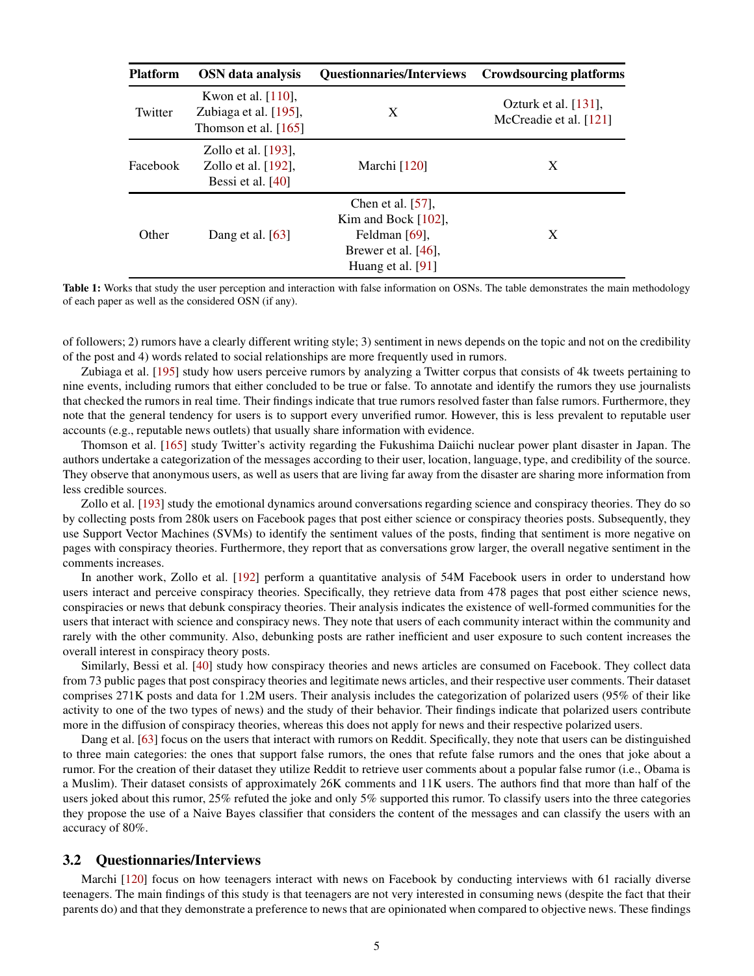<span id="page-4-0"></span>

| <b>Platform</b> | OSN data analysis                                                        | Questionnaries/Interviews Crowdsourcing platforms                                                           |                                                   |
|-----------------|--------------------------------------------------------------------------|-------------------------------------------------------------------------------------------------------------|---------------------------------------------------|
| Twitter         | Kwon et al. $[110]$ ,<br>Zubiaga et al. [195],<br>Thomson et al. $[165]$ | X                                                                                                           | Ozturk et al. $[131]$ ,<br>McCreadie et al. [121] |
| Facebook        | Zollo et al. $[193]$ ,<br>Zollo et al. $[192]$ ,<br>Bessi et al. $[40]$  | Marchi [120]                                                                                                | X                                                 |
| Other           | Dang et al. $[63]$                                                       | Chen et al. $[57]$ .<br>Kim and Bock $[102]$ ,<br>Feldman [69],<br>Brewer et al. [46],<br>Huang et al. [91] | X                                                 |

Table 1: Works that study the user perception and interaction with false information on OSNs. The table demonstrates the main methodology of each paper as well as the considered OSN (if any).

of followers; 2) rumors have a clearly different writing style; 3) sentiment in news depends on the topic and not on the credibility of the post and 4) words related to social relationships are more frequently used in rumors.

Zubiaga et al. [\[195\]](#page-25-0) study how users perceive rumors by analyzing a Twitter corpus that consists of 4k tweets pertaining to nine events, including rumors that either concluded to be true or false. To annotate and identify the rumors they use journalists that checked the rumors in real time. Their findings indicate that true rumors resolved faster than false rumors. Furthermore, they note that the general tendency for users is to support every unverified rumor. However, this is less prevalent to reputable user accounts (e.g., reputable news outlets) that usually share information with evidence.

Thomson et al. [\[165\]](#page-24-6) study Twitter's activity regarding the Fukushima Daiichi nuclear power plant disaster in Japan. The authors undertake a categorization of the messages according to their user, location, language, type, and credibility of the source. They observe that anonymous users, as well as users that are living far away from the disaster are sharing more information from less credible sources.

Zollo et al. [\[193\]](#page-25-1) study the emotional dynamics around conversations regarding science and conspiracy theories. They do so by collecting posts from 280k users on Facebook pages that post either science or conspiracy theories posts. Subsequently, they use Support Vector Machines (SVMs) to identify the sentiment values of the posts, finding that sentiment is more negative on pages with conspiracy theories. Furthermore, they report that as conversations grow larger, the overall negative sentiment in the comments increases.

In another work, Zollo et al. [\[192\]](#page-25-2) perform a quantitative analysis of 54M Facebook users in order to understand how users interact and perceive conspiracy theories. Specifically, they retrieve data from 478 pages that post either science news, conspiracies or news that debunk conspiracy theories. Their analysis indicates the existence of well-formed communities for the users that interact with science and conspiracy news. They note that users of each community interact within the community and rarely with the other community. Also, debunking posts are rather inefficient and user exposure to such content increases the overall interest in conspiracy theory posts.

Similarly, Bessi et al. [\[40\]](#page-20-11) study how conspiracy theories and news articles are consumed on Facebook. They collect data from 73 public pages that post conspiracy theories and legitimate news articles, and their respective user comments. Their dataset comprises 271K posts and data for 1.2M users. Their analysis includes the categorization of polarized users (95% of their like activity to one of the two types of news) and the study of their behavior. Their findings indicate that polarized users contribute more in the diffusion of conspiracy theories, whereas this does not apply for news and their respective polarized users.

Dang et al. [\[63\]](#page-21-4) focus on the users that interact with rumors on Reddit. Specifically, they note that users can be distinguished to three main categories: the ones that support false rumors, the ones that refute false rumors and the ones that joke about a rumor. For the creation of their dataset they utilize Reddit to retrieve user comments about a popular false rumor (i.e., Obama is a Muslim). Their dataset consists of approximately 26K comments and 11K users. The authors find that more than half of the users joked about this rumor, 25% refuted the joke and only 5% supported this rumor. To classify users into the three categories they propose the use of a Naive Bayes classifier that considers the content of the messages and can classify the users with an accuracy of 80%.

#### 3.2 Questionnaries/Interviews

Marchi [\[120\]](#page-22-6) focus on how teenagers interact with news on Facebook by conducting interviews with 61 racially diverse teenagers. The main findings of this study is that teenagers are not very interested in consuming news (despite the fact that their parents do) and that they demonstrate a preference to news that are opinionated when compared to objective news. These findings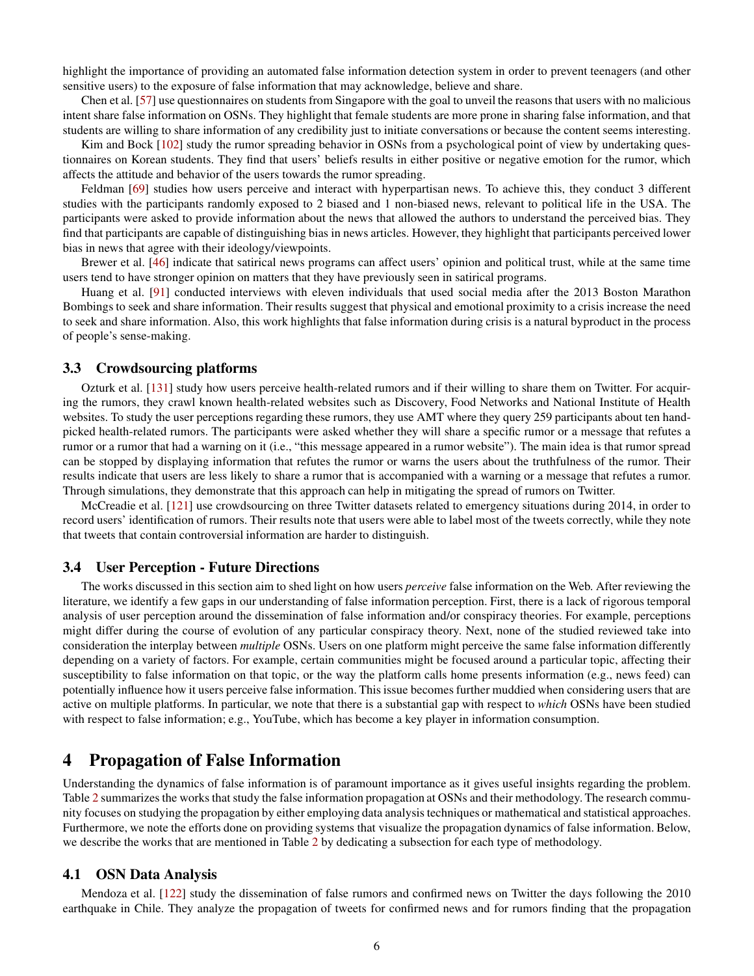highlight the importance of providing an automated false information detection system in order to prevent teenagers (and other sensitive users) to the exposure of false information that may acknowledge, believe and share.

Chen et al. [\[57\]](#page-20-12) use questionnaires on students from Singapore with the goal to unveil the reasons that users with no malicious intent share false information on OSNs. They highlight that female students are more prone in sharing false information, and that students are willing to share information of any credibility just to initiate conversations or because the content seems interesting.

Kim and Bock [\[102\]](#page-22-7) study the rumor spreading behavior in OSNs from a psychological point of view by undertaking questionnaires on Korean students. They find that users' beliefs results in either positive or negative emotion for the rumor, which affects the attitude and behavior of the users towards the rumor spreading.

Feldman [\[69\]](#page-21-5) studies how users perceive and interact with hyperpartisan news. To achieve this, they conduct 3 different studies with the participants randomly exposed to 2 biased and 1 non-biased news, relevant to political life in the USA. The participants were asked to provide information about the news that allowed the authors to understand the perceived bias. They find that participants are capable of distinguishing bias in news articles. However, they highlight that participants perceived lower bias in news that agree with their ideology/viewpoints.

Brewer et al. [\[46\]](#page-20-13) indicate that satirical news programs can affect users' opinion and political trust, while at the same time users tend to have stronger opinion on matters that they have previously seen in satirical programs.

Huang et al. [\[91\]](#page-21-6) conducted interviews with eleven individuals that used social media after the 2013 Boston Marathon Bombings to seek and share information. Their results suggest that physical and emotional proximity to a crisis increase the need to seek and share information. Also, this work highlights that false information during crisis is a natural byproduct in the process of people's sense-making.

#### 3.3 Crowdsourcing platforms

Ozturk et al. [\[131\]](#page-23-5) study how users perceive health-related rumors and if their willing to share them on Twitter. For acquiring the rumors, they crawl known health-related websites such as Discovery, Food Networks and National Institute of Health websites. To study the user perceptions regarding these rumors, they use AMT where they query 259 participants about ten handpicked health-related rumors. The participants were asked whether they will share a specific rumor or a message that refutes a rumor or a rumor that had a warning on it (i.e., "this message appeared in a rumor website"). The main idea is that rumor spread can be stopped by displaying information that refutes the rumor or warns the users about the truthfulness of the rumor. Their results indicate that users are less likely to share a rumor that is accompanied with a warning or a message that refutes a rumor. Through simulations, they demonstrate that this approach can help in mitigating the spread of rumors on Twitter.

McCreadie et al. [\[121\]](#page-22-5) use crowdsourcing on three Twitter datasets related to emergency situations during 2014, in order to record users' identification of rumors. Their results note that users were able to label most of the tweets correctly, while they note that tweets that contain controversial information are harder to distinguish.

### 3.4 User Perception - Future Directions

The works discussed in this section aim to shed light on how users *perceive* false information on the Web. After reviewing the literature, we identify a few gaps in our understanding of false information perception. First, there is a lack of rigorous temporal analysis of user perception around the dissemination of false information and/or conspiracy theories. For example, perceptions might differ during the course of evolution of any particular conspiracy theory. Next, none of the studied reviewed take into consideration the interplay between *multiple* OSNs. Users on one platform might perceive the same false information differently depending on a variety of factors. For example, certain communities might be focused around a particular topic, affecting their susceptibility to false information on that topic, or the way the platform calls home presents information (e.g., news feed) can potentially influence how it users perceive false information. This issue becomes further muddied when considering users that are active on multiple platforms. In particular, we note that there is a substantial gap with respect to *which* OSNs have been studied with respect to false information; e.g., YouTube, which has become a key player in information consumption.

## <span id="page-5-0"></span>4 Propagation of False Information

Understanding the dynamics of false information is of paramount importance as it gives useful insights regarding the problem. Table [2](#page-6-0) summarizes the works that study the false information propagation at OSNs and their methodology. The research community focuses on studying the propagation by either employing data analysis techniques or mathematical and statistical approaches. Furthermore, we note the efforts done on providing systems that visualize the propagation dynamics of false information. Below, we describe the works that are mentioned in Table [2](#page-6-0) by dedicating a subsection for each type of methodology.

#### 4.1 OSN Data Analysis

Mendoza et al. [\[122\]](#page-22-8) study the dissemination of false rumors and confirmed news on Twitter the days following the 2010 earthquake in Chile. They analyze the propagation of tweets for confirmed news and for rumors finding that the propagation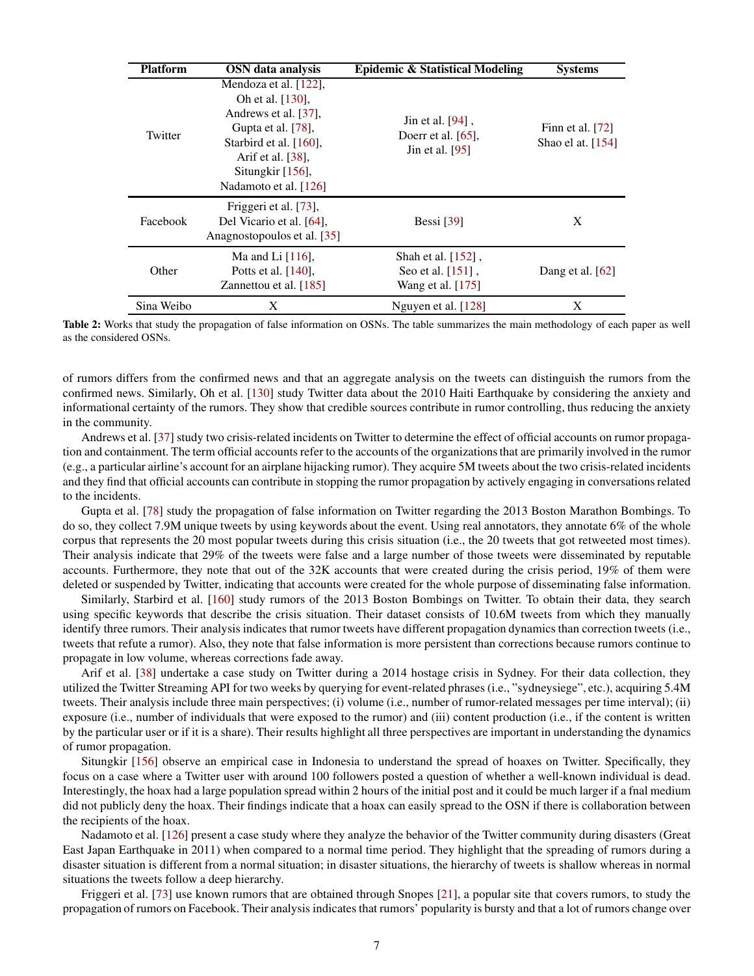<span id="page-6-0"></span>

| <b>Platform</b> | <b>OSN</b> data analysis                                                                                                                                                            | <b>Epidemic &amp; Statistical Modeling</b>                      | <b>Systems</b>                            |
|-----------------|-------------------------------------------------------------------------------------------------------------------------------------------------------------------------------------|-----------------------------------------------------------------|-------------------------------------------|
| Twitter         | Mendoza et al. [122],<br>Oh et al. [130].<br>Andrews et al. [37],<br>Gupta et al. [78],<br>Starbird et al. [160],<br>Arif et al. [38],<br>Situngkir [156],<br>Nadamoto et al. [126] | Jin et al. [94].<br>Doerr et al. $[65]$ ,<br>Jin et al. [95]    | Finn et al. $[72]$<br>Shao el at. $[154]$ |
| Facebook        | Friggeri et al. [73],<br>Del Vicario et al. [64].<br>Anagnostopoulos et al. [35]                                                                                                    | Bessi $\lceil 39 \rceil$                                        | X                                         |
| Other           | Ma and Li $[116]$ ,<br>Potts et al. $[140]$ ,<br>Zannettou et al. [185]                                                                                                             | Shah et al. $[152]$ ,<br>Seo et al. [151].<br>Wang et al. [175] | Dang et al. $[62]$                        |
| Sina Weibo      | X                                                                                                                                                                                   | Nguyen et al. $[128]$                                           | X                                         |

Table 2: Works that study the propagation of false information on OSNs. The table summarizes the main methodology of each paper as well as the considered OSNs.

of rumors differs from the confirmed news and that an aggregate analysis on the tweets can distinguish the rumors from the confirmed news. Similarly, Oh et al. [\[130\]](#page-23-6) study Twitter data about the 2010 Haiti Earthquake by considering the anxiety and informational certainty of the rumors. They show that credible sources contribute in rumor controlling, thus reducing the anxiety in the community.

Andrews et al. [\[37\]](#page-20-14) study two crisis-related incidents on Twitter to determine the effect of official accounts on rumor propagation and containment. The term official accounts refer to the accounts of the organizations that are primarily involved in the rumor (e.g., a particular airline's account for an airplane hijacking rumor). They acquire 5M tweets about the two crisis-related incidents and they find that official accounts can contribute in stopping the rumor propagation by actively engaging in conversations related to the incidents.

Gupta et al. [\[78\]](#page-21-7) study the propagation of false information on Twitter regarding the 2013 Boston Marathon Bombings. To do so, they collect 7.9M unique tweets by using keywords about the event. Using real annotators, they annotate 6% of the whole corpus that represents the 20 most popular tweets during this crisis situation (i.e., the 20 tweets that got retweeted most times). Their analysis indicate that 29% of the tweets were false and a large number of those tweets were disseminated by reputable accounts. Furthermore, they note that out of the 32K accounts that were created during the crisis period, 19% of them were deleted or suspended by Twitter, indicating that accounts were created for the whole purpose of disseminating false information.

Similarly, Starbird et al. [\[160\]](#page-24-7) study rumors of the 2013 Boston Bombings on Twitter. To obtain their data, they search using specific keywords that describe the crisis situation. Their dataset consists of 10.6M tweets from which they manually identify three rumors. Their analysis indicates that rumor tweets have different propagation dynamics than correction tweets (i.e., tweets that refute a rumor). Also, they note that false information is more persistent than corrections because rumors continue to propagate in low volume, whereas corrections fade away.

Arif et al. [\[38\]](#page-20-15) undertake a case study on Twitter during a 2014 hostage crisis in Sydney. For their data collection, they utilized the Twitter Streaming API for two weeks by querying for event-related phrases (i.e., "sydneysiege", etc.), acquiring 5.4M tweets. Their analysis include three main perspectives; (i) volume (i.e., number of rumor-related messages per time interval); (ii) exposure (i.e., number of individuals that were exposed to the rumor) and (iii) content production (i.e., if the content is written by the particular user or if it is a share). Their results highlight all three perspectives are important in understanding the dynamics of rumor propagation.

Situngkir [\[156\]](#page-23-7) observe an empirical case in Indonesia to understand the spread of hoaxes on Twitter. Specifically, they focus on a case where a Twitter user with around 100 followers posted a question of whether a well-known individual is dead. Interestingly, the hoax had a large population spread within 2 hours of the initial post and it could be much larger if a fnal medium did not publicly deny the hoax. Their findings indicate that a hoax can easily spread to the OSN if there is collaboration between the recipients of the hoax.

Nadamoto et al. [\[126\]](#page-23-8) present a case study where they analyze the behavior of the Twitter community during disasters (Great East Japan Earthquake in 2011) when compared to a normal time period. They highlight that the spreading of rumors during a disaster situation is different from a normal situation; in disaster situations, the hierarchy of tweets is shallow whereas in normal situations the tweets follow a deep hierarchy.

Friggeri et al. [\[73\]](#page-21-10) use known rumors that are obtained through Snopes [\[21\]](#page-19-13), a popular site that covers rumors, to study the propagation of rumors on Facebook. Their analysis indicates that rumors' popularity is bursty and that a lot of rumors change over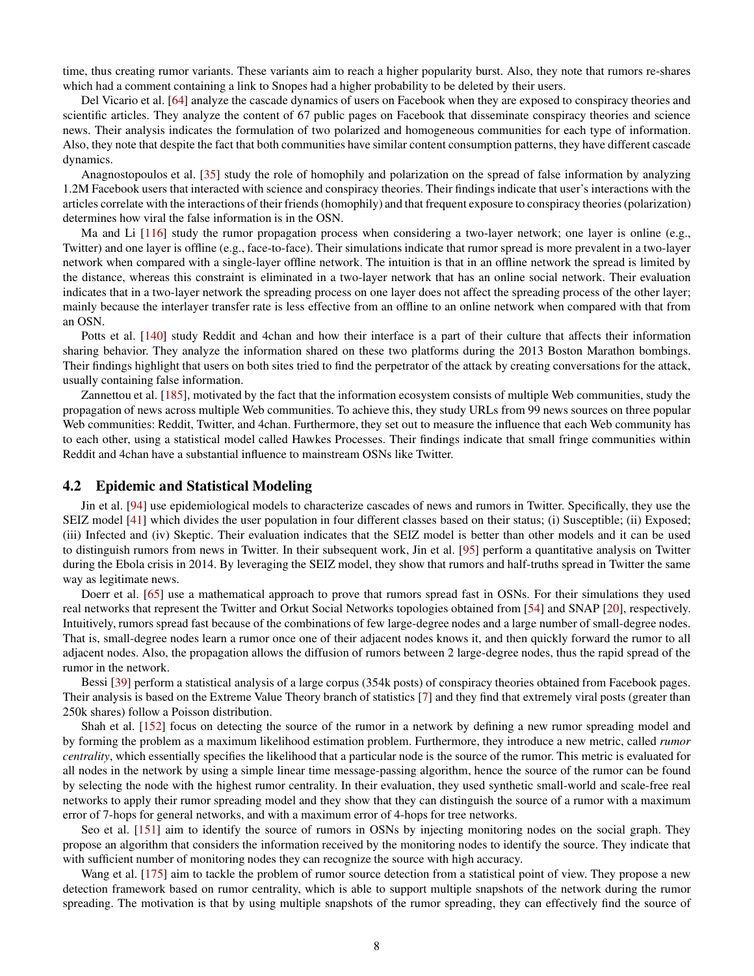time, thus creating rumor variants. These variants aim to reach a higher popularity burst. Also, they note that rumors re-shares which had a comment containing a link to Snopes had a higher probability to be deleted by their users.

Del Vicario et al. [\[64\]](#page-21-11) analyze the cascade dynamics of users on Facebook when they are exposed to conspiracy theories and scientific articles. They analyze the content of 67 public pages on Facebook that disseminate conspiracy theories and science news. Their analysis indicates the formulation of two polarized and homogeneous communities for each type of information. Also, they note that despite the fact that both communities have similar content consumption patterns, they have different cascade dynamics.

Anagnostopoulos et al. [\[35\]](#page-20-16) study the role of homophily and polarization on the spread of false information by analyzing 1.2M Facebook users that interacted with science and conspiracy theories. Their findings indicate that user's interactions with the articles correlate with the interactions of their friends (homophily) and that frequent exposure to conspiracy theories (polarization) determines how viral the false information is in the OSN.

Ma and Li [\[116\]](#page-22-11) study the rumor propagation process when considering a two-layer network; one layer is online (e.g., Twitter) and one layer is offline (e.g., face-to-face). Their simulations indicate that rumor spread is more prevalent in a two-layer network when compared with a single-layer offline network. The intuition is that in an offline network the spread is limited by the distance, whereas this constraint is eliminated in a two-layer network that has an online social network. Their evaluation indicates that in a two-layer network the spreading process on one layer does not affect the spreading process of the other layer; mainly because the interlayer transfer rate is less effective from an offline to an online network when compared with that from an OSN.

Potts et al. [\[140\]](#page-23-10) study Reddit and 4chan and how their interface is a part of their culture that affects their information sharing behavior. They analyze the information shared on these two platforms during the 2013 Boston Marathon bombings. Their findings highlight that users on both sites tried to find the perpetrator of the attack by creating conversations for the attack, usually containing false information.

Zannettou et al. [\[185\]](#page-24-4), motivated by the fact that the information ecosystem consists of multiple Web communities, study the propagation of news across multiple Web communities. To achieve this, they study URLs from 99 news sources on three popular Web communities: Reddit, Twitter, and 4chan. Furthermore, they set out to measure the influence that each Web community has to each other, using a statistical model called Hawkes Processes. Their findings indicate that small fringe communities within Reddit and 4chan have a substantial influence to mainstream OSNs like Twitter.

#### 4.2 Epidemic and Statistical Modeling

Jin et al. [\[94\]](#page-22-9) use epidemiological models to characterize cascades of news and rumors in Twitter. Specifically, they use the SEIZ model [\[41\]](#page-20-18) which divides the user population in four different classes based on their status; (i) Susceptible; (ii) Exposed; (iii) Infected and (iv) Skeptic. Their evaluation indicates that the SEIZ model is better than other models and it can be used to distinguish rumors from news in Twitter. In their subsequent work, Jin et al. [\[95\]](#page-22-10) perform a quantitative analysis on Twitter during the Ebola crisis in 2014. By leveraging the SEIZ model, they show that rumors and half-truths spread in Twitter the same way as legitimate news.

Doerr et al. [\[65\]](#page-21-8) use a mathematical approach to prove that rumors spread fast in OSNs. For their simulations they used real networks that represent the Twitter and Orkut Social Networks topologies obtained from [\[54\]](#page-20-10) and SNAP [\[20\]](#page-19-14), respectively. Intuitively, rumors spread fast because of the combinations of few large-degree nodes and a large number of small-degree nodes. That is, small-degree nodes learn a rumor once one of their adjacent nodes knows it, and then quickly forward the rumor to all adjacent nodes. Also, the propagation allows the diffusion of rumors between 2 large-degree nodes, thus the rapid spread of the rumor in the network.

Bessi [\[39\]](#page-20-17) perform a statistical analysis of a large corpus (354k posts) of conspiracy theories obtained from Facebook pages. Their analysis is based on the Extreme Value Theory branch of statistics [\[7\]](#page-19-15) and they find that extremely viral posts (greater than 250k shares) follow a Poisson distribution.

Shah et al. [\[152\]](#page-23-11) focus on detecting the source of the rumor in a network by defining a new rumor spreading model and by forming the problem as a maximum likelihood estimation problem. Furthermore, they introduce a new metric, called *rumor centrality*, which essentially specifies the likelihood that a particular node is the source of the rumor. This metric is evaluated for all nodes in the network by using a simple linear time message-passing algorithm, hence the source of the rumor can be found by selecting the node with the highest rumor centrality. In their evaluation, they used synthetic small-world and scale-free real networks to apply their rumor spreading model and they show that they can distinguish the source of a rumor with a maximum error of 7-hops for general networks, and with a maximum error of 4-hops for tree networks.

Seo et al. [\[151\]](#page-23-12) aim to identify the source of rumors in OSNs by injecting monitoring nodes on the social graph. They propose an algorithm that considers the information received by the monitoring nodes to identify the source. They indicate that with sufficient number of monitoring nodes they can recognize the source with high accuracy.

Wang et al. [\[175\]](#page-24-8) aim to tackle the problem of rumor source detection from a statistical point of view. They propose a new detection framework based on rumor centrality, which is able to support multiple snapshots of the network during the rumor spreading. The motivation is that by using multiple snapshots of the rumor spreading, they can effectively find the source of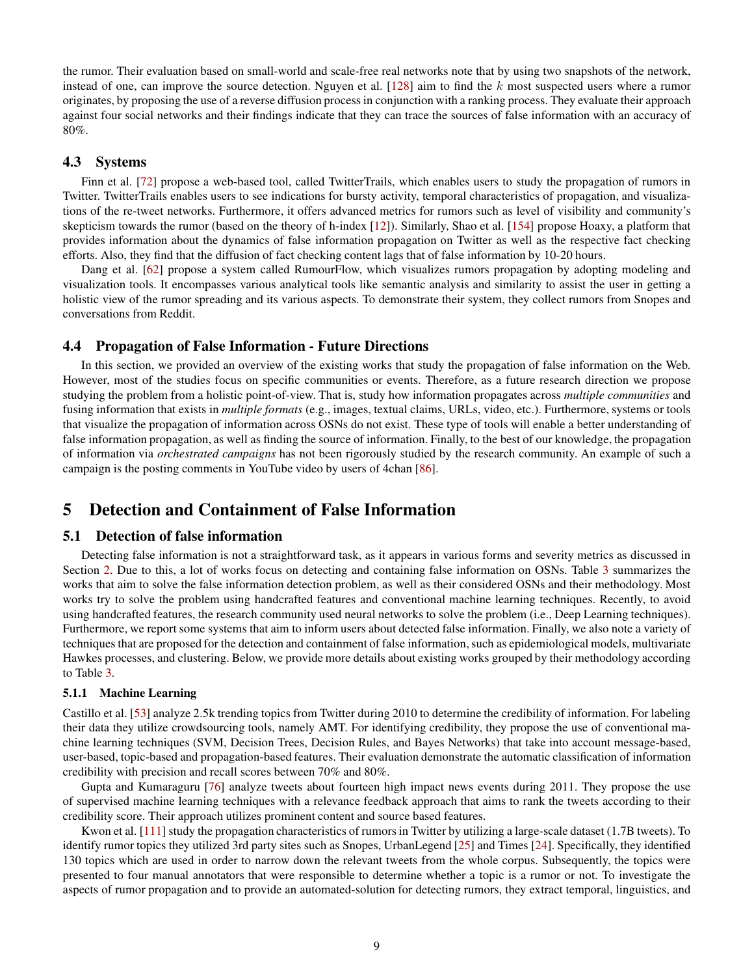the rumor. Their evaluation based on small-world and scale-free real networks note that by using two snapshots of the network, instead of one, can improve the source detection. Nguyen et al.  $[128]$  aim to find the k most suspected users where a rumor originates, by proposing the use of a reverse diffusion process in conjunction with a ranking process. They evaluate their approach against four social networks and their findings indicate that they can trace the sources of false information with an accuracy of 80%.

#### 4.3 Systems

Finn et al. [\[72\]](#page-21-9) propose a web-based tool, called TwitterTrails, which enables users to study the propagation of rumors in Twitter. TwitterTrails enables users to see indications for bursty activity, temporal characteristics of propagation, and visualizations of the re-tweet networks. Furthermore, it offers advanced metrics for rumors such as level of visibility and community's skepticism towards the rumor (based on the theory of h-index [\[12\]](#page-19-16)). Similarly, Shao et al. [\[154\]](#page-23-9) propose Hoaxy, a platform that provides information about the dynamics of false information propagation on Twitter as well as the respective fact checking efforts. Also, they find that the diffusion of fact checking content lags that of false information by 10-20 hours.

Dang et al. [\[62\]](#page-21-12) propose a system called RumourFlow, which visualizes rumors propagation by adopting modeling and visualization tools. It encompasses various analytical tools like semantic analysis and similarity to assist the user in getting a holistic view of the rumor spreading and its various aspects. To demonstrate their system, they collect rumors from Snopes and conversations from Reddit.

#### 4.4 Propagation of False Information - Future Directions

In this section, we provided an overview of the existing works that study the propagation of false information on the Web. However, most of the studies focus on specific communities or events. Therefore, as a future research direction we propose studying the problem from a holistic point-of-view. That is, study how information propagates across *multiple communities* and fusing information that exists in *multiple formats* (e.g., images, textual claims, URLs, video, etc.). Furthermore, systems or tools that visualize the propagation of information across OSNs do not exist. These type of tools will enable a better understanding of false information propagation, as well as finding the source of information. Finally, to the best of our knowledge, the propagation of information via *orchestrated campaigns* has not been rigorously studied by the research community. An example of such a campaign is the posting comments in YouTube video by users of 4chan [\[86\]](#page-21-1).

# <span id="page-8-0"></span>5 Detection and Containment of False Information

### 5.1 Detection of false information

Detecting false information is not a straightforward task, as it appears in various forms and severity metrics as discussed in Section [2.](#page-1-0) Due to this, a lot of works focus on detecting and containing false information on OSNs. Table [3](#page-9-0) summarizes the works that aim to solve the false information detection problem, as well as their considered OSNs and their methodology. Most works try to solve the problem using handcrafted features and conventional machine learning techniques. Recently, to avoid using handcrafted features, the research community used neural networks to solve the problem (i.e., Deep Learning techniques). Furthermore, we report some systems that aim to inform users about detected false information. Finally, we also note a variety of techniques that are proposed for the detection and containment of false information, such as epidemiological models, multivariate Hawkes processes, and clustering. Below, we provide more details about existing works grouped by their methodology according to Table [3.](#page-9-0)

#### 5.1.1 Machine Learning

Castillo et al. [\[53\]](#page-20-19) analyze 2.5k trending topics from Twitter during 2010 to determine the credibility of information. For labeling their data they utilize crowdsourcing tools, namely AMT. For identifying credibility, they propose the use of conventional machine learning techniques (SVM, Decision Trees, Decision Rules, and Bayes Networks) that take into account message-based, user-based, topic-based and propagation-based features. Their evaluation demonstrate the automatic classification of information credibility with precision and recall scores between 70% and 80%.

Gupta and Kumaraguru [\[76\]](#page-21-13) analyze tweets about fourteen high impact news events during 2011. They propose the use of supervised machine learning techniques with a relevance feedback approach that aims to rank the tweets according to their credibility score. Their approach utilizes prominent content and source based features.

Kwon et al. [\[111\]](#page-22-12) study the propagation characteristics of rumors in Twitter by utilizing a large-scale dataset (1.7B tweets). To identify rumor topics they utilized 3rd party sites such as Snopes, UrbanLegend [\[25\]](#page-20-20) and Times [\[24\]](#page-20-21). Specifically, they identified 130 topics which are used in order to narrow down the relevant tweets from the whole corpus. Subsequently, the topics were presented to four manual annotators that were responsible to determine whether a topic is a rumor or not. To investigate the aspects of rumor propagation and to provide an automated-solution for detecting rumors, they extract temporal, linguistics, and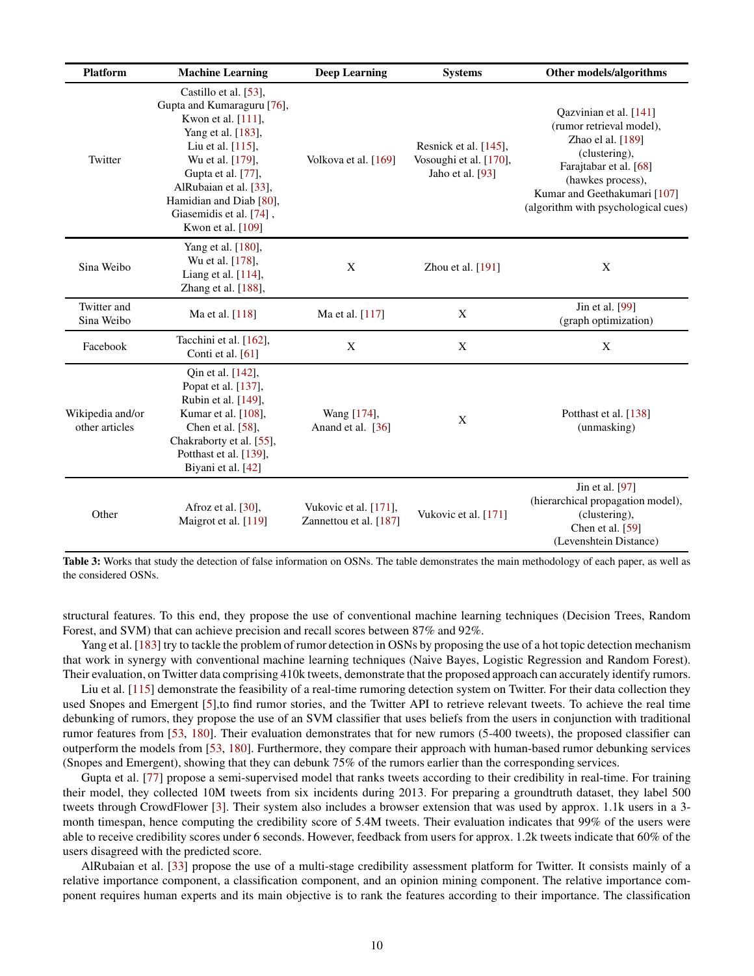<span id="page-9-0"></span>

| <b>Platform</b>                    | <b>Machine Learning</b>                                                                                                                                                                                                                                                | <b>Deep Learning</b>                            | <b>Systems</b>                                                      | Other models/algorithms                                                                                                                                                                                        |
|------------------------------------|------------------------------------------------------------------------------------------------------------------------------------------------------------------------------------------------------------------------------------------------------------------------|-------------------------------------------------|---------------------------------------------------------------------|----------------------------------------------------------------------------------------------------------------------------------------------------------------------------------------------------------------|
| Twitter                            | Castillo et al. [53],<br>Gupta and Kumaraguru [76],<br>Kwon et al. [111],<br>Yang et al. [183],<br>Liu et al. $[115]$ ,<br>Wu et al. [179],<br>Gupta et al. [77],<br>AlRubaian et al. [33],<br>Hamidian and Diab [80],<br>Giasemidis et al. [74],<br>Kwon et al. [109] | Volkova et al. [169]                            | Resnick et al. [145],<br>Vosoughi et al. [170],<br>Jaho et al. [93] | Qazvinian et al. [141]<br>(rumor retrieval model),<br>Zhao el al. [189]<br>(clustering),<br>Farajtabar et al. [68]<br>(hawkes process),<br>Kumar and Geethakumari [107]<br>(algorithm with psychological cues) |
| Sina Weibo                         | Yang et al. [180],<br>Wu et al. [178],<br>Liang et al. [114],<br>Zhang et al. [188],                                                                                                                                                                                   | X                                               | Zhou et al. $[191]$                                                 | X                                                                                                                                                                                                              |
| Twitter and<br>Sina Weibo          | Ma et al. [118]                                                                                                                                                                                                                                                        | Ma et al. [117]                                 | X                                                                   | Jin et al. [99]<br>(graph optimization)                                                                                                                                                                        |
| Facebook                           | Tacchini et al. [162],<br>Conti et al. [61]                                                                                                                                                                                                                            | $\mathbf X$                                     | X                                                                   | X                                                                                                                                                                                                              |
| Wikipedia and/or<br>other articles | Qin et al. [142],<br>Popat et al. [137],<br>Rubin et al. [149],<br>Kumar et al. [108],<br>Chen et al. $[58]$ ,<br>Chakraborty et al. [55],<br>Potthast et al. [139],<br>Biyani et al. [42]                                                                             | Wang [174],<br>Anand et al. [36]                | X                                                                   | Potthast et al. [138]<br>(unmasking)                                                                                                                                                                           |
| Other                              | Afroz et al. $[30]$ ,<br>Maigrot et al. [119]                                                                                                                                                                                                                          | Vukovic et al. [171],<br>Zannettou et al. [187] | Vukovic et al. [171]                                                | Jin et al. [97]<br>(hierarchical propagation model),<br>(clustering),<br>Chen et al. [59]<br>(Levenshtein Distance)                                                                                            |

Table 3: Works that study the detection of false information on OSNs. The table demonstrates the main methodology of each paper, as well as the considered OSNs.

structural features. To this end, they propose the use of conventional machine learning techniques (Decision Trees, Random Forest, and SVM) that can achieve precision and recall scores between 87% and 92%.

Yang et al. [\[183\]](#page-24-9) try to tackle the problem of rumor detection in OSNs by proposing the use of a hot topic detection mechanism that work in synergy with conventional machine learning techniques (Naive Bayes, Logistic Regression and Random Forest). Their evaluation, on Twitter data comprising 410k tweets, demonstrate that the proposed approach can accurately identify rumors.

Liu et al. [\[115\]](#page-22-13) demonstrate the feasibility of a real-time rumoring detection system on Twitter. For their data collection they used Snopes and Emergent [\[5\]](#page-19-17),to find rumor stories, and the Twitter API to retrieve relevant tweets. To achieve the real time debunking of rumors, they propose the use of an SVM classifier that uses beliefs from the users in conjunction with traditional rumor features from [\[53,](#page-20-19) [180\]](#page-24-13). Their evaluation demonstrates that for new rumors (5-400 tweets), the proposed classifier can outperform the models from [\[53,](#page-20-19) [180\]](#page-24-13). Furthermore, they compare their approach with human-based rumor debunking services (Snopes and Emergent), showing that they can debunk 75% of the rumors earlier than the corresponding services.

Gupta et al. [\[77\]](#page-21-14) propose a semi-supervised model that ranks tweets according to their credibility in real-time. For training their model, they collected 10M tweets from six incidents during 2013. For preparing a groundtruth dataset, they label 500 tweets through CrowdFlower [\[3\]](#page-19-18). Their system also includes a browser extension that was used by approx. 1.1k users in a 3 month timespan, hence computing the credibility score of 5.4M tweets. Their evaluation indicates that 99% of the users were able to receive credibility scores under 6 seconds. However, feedback from users for approx. 1.2k tweets indicate that 60% of the users disagreed with the predicted score.

AlRubaian et al. [\[33\]](#page-20-22) propose the use of a multi-stage credibility assessment platform for Twitter. It consists mainly of a relative importance component, a classification component, and an opinion mining component. The relative importance component requires human experts and its main objective is to rank the features according to their importance. The classification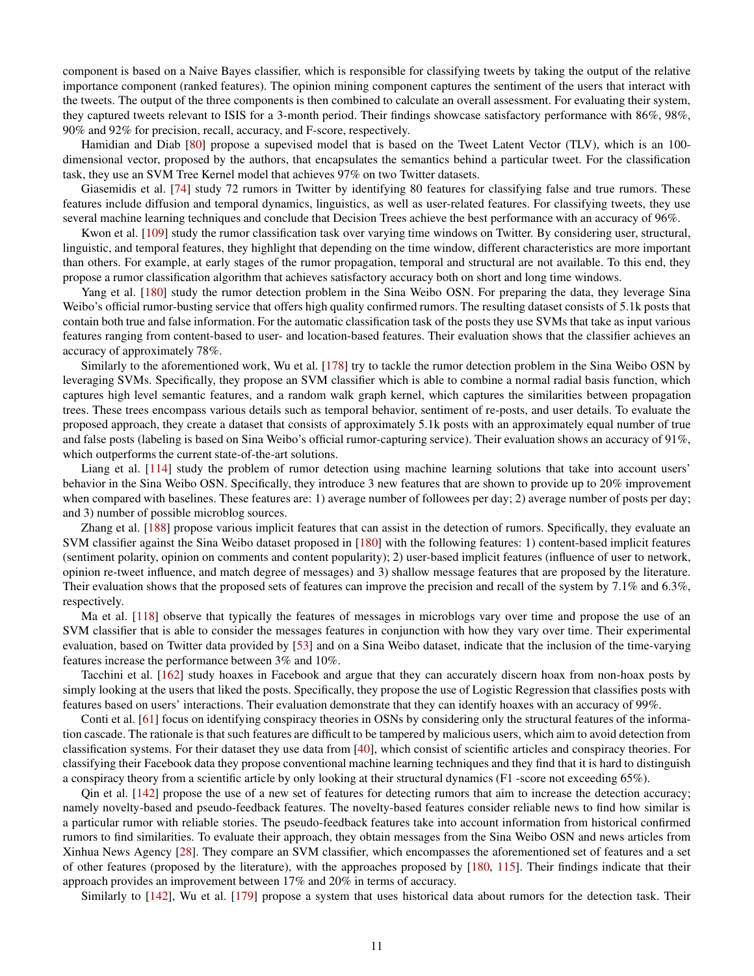component is based on a Naive Bayes classifier, which is responsible for classifying tweets by taking the output of the relative importance component (ranked features). The opinion mining component captures the sentiment of the users that interact with the tweets. The output of the three components is then combined to calculate an overall assessment. For evaluating their system, they captured tweets relevant to ISIS for a 3-month period. Their findings showcase satisfactory performance with 86%, 98%, 90% and 92% for precision, recall, accuracy, and F-score, respectively.

Hamidian and Diab [\[80\]](#page-21-15) propose a supevised model that is based on the Tweet Latent Vector (TLV), which is an 100 dimensional vector, proposed by the authors, that encapsulates the semantics behind a particular tweet. For the classification task, they use an SVM Tree Kernel model that achieves 97% on two Twitter datasets.

Giasemidis et al. [\[74\]](#page-21-16) study 72 rumors in Twitter by identifying 80 features for classifying false and true rumors. These features include diffusion and temporal dynamics, linguistics, as well as user-related features. For classifying tweets, they use several machine learning techniques and conclude that Decision Trees achieve the best performance with an accuracy of 96%.

Kwon et al. [\[109\]](#page-22-14) study the rumor classification task over varying time windows on Twitter. By considering user, structural, linguistic, and temporal features, they highlight that depending on the time window, different characteristics are more important than others. For example, at early stages of the rumor propagation, temporal and structural are not available. To this end, they propose a rumor classification algorithm that achieves satisfactory accuracy both on short and long time windows.

Yang et al. [\[180\]](#page-24-13) study the rumor detection problem in the Sina Weibo OSN. For preparing the data, they leverage Sina Weibo's official rumor-busting service that offers high quality confirmed rumors. The resulting dataset consists of 5.1k posts that contain both true and false information. For the automatic classification task of the posts they use SVMs that take as input various features ranging from content-based to user- and location-based features. Their evaluation shows that the classifier achieves an accuracy of approximately 78%.

Similarly to the aforementioned work, Wu et al. [\[178\]](#page-24-14) try to tackle the rumor detection problem in the Sina Weibo OSN by leveraging SVMs. Specifically, they propose an SVM classifier which is able to combine a normal radial basis function, which captures high level semantic features, and a random walk graph kernel, which captures the similarities between propagation trees. These trees encompass various details such as temporal behavior, sentiment of re-posts, and user details. To evaluate the proposed approach, they create a dataset that consists of approximately 5.1k posts with an approximately equal number of true and false posts (labeling is based on Sina Weibo's official rumor-capturing service). Their evaluation shows an accuracy of 91%, which outperforms the current state-of-the-art solutions.

Liang et al. [\[114\]](#page-22-17) study the problem of rumor detection using machine learning solutions that take into account users' behavior in the Sina Weibo OSN. Specifically, they introduce 3 new features that are shown to provide up to 20% improvement when compared with baselines. These features are: 1) average number of followees per day; 2) average number of posts per day; and 3) number of possible microblog sources.

Zhang et al. [\[188\]](#page-25-4) propose various implicit features that can assist in the detection of rumors. Specifically, they evaluate an SVM classifier against the Sina Weibo dataset proposed in [\[180\]](#page-24-13) with the following features: 1) content-based implicit features (sentiment polarity, opinion on comments and content popularity); 2) user-based implicit features (influence of user to network, opinion re-tweet influence, and match degree of messages) and 3) shallow message features that are proposed by the literature. Their evaluation shows that the proposed sets of features can improve the precision and recall of the system by 7.1% and 6.3%, respectively.

Ma et al. [\[118\]](#page-22-18) observe that typically the features of messages in microblogs vary over time and propose the use of an SVM classifier that is able to consider the messages features in conjunction with how they vary over time. Their experimental evaluation, based on Twitter data provided by [\[53\]](#page-20-19) and on a Sina Weibo dataset, indicate that the inclusion of the time-varying features increase the performance between 3% and 10%.

Tacchini et al. [\[162\]](#page-24-15) study hoaxes in Facebook and argue that they can accurately discern hoax from non-hoax posts by simply looking at the users that liked the posts. Specifically, they propose the use of Logistic Regression that classifies posts with features based on users' interactions. Their evaluation demonstrate that they can identify hoaxes with an accuracy of 99%.

Conti et al. [\[61\]](#page-21-18) focus on identifying conspiracy theories in OSNs by considering only the structural features of the information cascade. The rationale is that such features are difficult to be tampered by malicious users, which aim to avoid detection from classification systems. For their dataset they use data from [\[40\]](#page-20-11), which consist of scientific articles and conspiracy theories. For classifying their Facebook data they propose conventional machine learning techniques and they find that it is hard to distinguish a conspiracy theory from a scientific article by only looking at their structural dynamics (F1 -score not exceeding 65%).

Qin et al. [\[142\]](#page-23-16) propose the use of a new set of features for detecting rumors that aim to increase the detection accuracy; namely novelty-based and pseudo-feedback features. The novelty-based features consider reliable news to find how similar is a particular rumor with reliable stories. The pseudo-feedback features take into account information from historical confirmed rumors to find similarities. To evaluate their approach, they obtain messages from the Sina Weibo OSN and news articles from Xinhua News Agency [\[28\]](#page-20-27). They compare an SVM classifier, which encompasses the aforementioned set of features and a set of other features (proposed by the literature), with the approaches proposed by [\[180,](#page-24-13) [115\]](#page-22-13). Their findings indicate that their approach provides an improvement between 17% and 20% in terms of accuracy.

Similarly to [\[142\]](#page-23-16), Wu et al. [\[179\]](#page-24-10) propose a system that uses historical data about rumors for the detection task. Their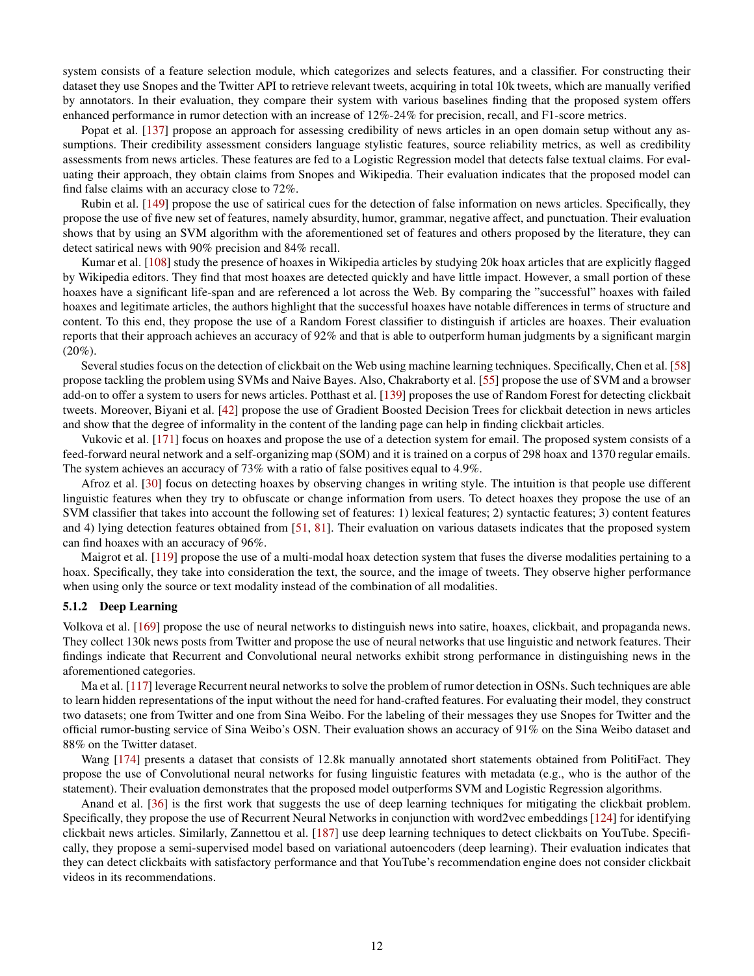system consists of a feature selection module, which categorizes and selects features, and a classifier. For constructing their dataset they use Snopes and the Twitter API to retrieve relevant tweets, acquiring in total 10k tweets, which are manually verified by annotators. In their evaluation, they compare their system with various baselines finding that the proposed system offers enhanced performance in rumor detection with an increase of 12%-24% for precision, recall, and F1-score metrics.

Popat et al. [\[137\]](#page-23-17) propose an approach for assessing credibility of news articles in an open domain setup without any assumptions. Their credibility assessment considers language stylistic features, source reliability metrics, as well as credibility assessments from news articles. These features are fed to a Logistic Regression model that detects false textual claims. For evaluating their approach, they obtain claims from Snopes and Wikipedia. Their evaluation indicates that the proposed model can find false claims with an accuracy close to 72%.

Rubin et al. [\[149\]](#page-23-18) propose the use of satirical cues for the detection of false information on news articles. Specifically, they propose the use of five new set of features, namely absurdity, humor, grammar, negative affect, and punctuation. Their evaluation shows that by using an SVM algorithm with the aforementioned set of features and others proposed by the literature, they can detect satirical news with 90% precision and 84% recall.

Kumar et al. [\[108\]](#page-22-1) study the presence of hoaxes in Wikipedia articles by studying 20k hoax articles that are explicitly flagged by Wikipedia editors. They find that most hoaxes are detected quickly and have little impact. However, a small portion of these hoaxes have a significant life-span and are referenced a lot across the Web. By comparing the "successful" hoaxes with failed hoaxes and legitimate articles, the authors highlight that the successful hoaxes have notable differences in terms of structure and content. To this end, they propose the use of a Random Forest classifier to distinguish if articles are hoaxes. Their evaluation reports that their approach achieves an accuracy of 92% and that is able to outperform human judgments by a significant margin  $(20\%).$ 

Several studies focus on the detection of clickbait on the Web using machine learning techniques. Specifically, Chen et al. [\[58\]](#page-21-2) propose tackling the problem using SVMs and Naive Bayes. Also, Chakraborty et al. [\[55\]](#page-20-23) propose the use of SVM and a browser add-on to offer a system to users for news articles. Potthast et al. [\[139\]](#page-23-19) proposes the use of Random Forest for detecting clickbait tweets. Moreover, Biyani et al. [\[42\]](#page-20-24) propose the use of Gradient Boosted Decision Trees for clickbait detection in news articles and show that the degree of informality in the content of the landing page can help in finding clickbait articles.

Vukovic et al. [\[171\]](#page-24-17) focus on hoaxes and propose the use of a detection system for email. The proposed system consists of a feed-forward neural network and a self-organizing map (SOM) and it is trained on a corpus of 298 hoax and 1370 regular emails. The system achieves an accuracy of 73% with a ratio of false positives equal to 4.9%.

Afroz et al. [\[30\]](#page-20-26) focus on detecting hoaxes by observing changes in writing style. The intuition is that people use different linguistic features when they try to obfuscate or change information from users. To detect hoaxes they propose the use of an SVM classifier that takes into account the following set of features: 1) lexical features; 2) syntactic features; 3) content features and 4) lying detection features obtained from [\[51,](#page-20-28) [81\]](#page-21-20). Their evaluation on various datasets indicates that the proposed system can find hoaxes with an accuracy of 96%.

Maigrot et al. [\[119\]](#page-22-21) propose the use of a multi-modal hoax detection system that fuses the diverse modalities pertaining to a hoax. Specifically, they take into consideration the text, the source, and the image of tweets. They observe higher performance when using only the source or text modality instead of the combination of all modalities.

#### 5.1.2 Deep Learning

Volkova et al. [\[169\]](#page-24-11) propose the use of neural networks to distinguish news into satire, hoaxes, clickbait, and propaganda news. They collect 130k news posts from Twitter and propose the use of neural networks that use linguistic and network features. Their findings indicate that Recurrent and Convolutional neural networks exhibit strong performance in distinguishing news in the aforementioned categories.

Ma et al. [\[117\]](#page-22-19) leverage Recurrent neural networks to solve the problem of rumor detection in OSNs. Such techniques are able to learn hidden representations of the input without the need for hand-crafted features. For evaluating their model, they construct two datasets; one from Twitter and one from Sina Weibo. For the labeling of their messages they use Snopes for Twitter and the official rumor-busting service of Sina Weibo's OSN. Their evaluation shows an accuracy of 91% on the Sina Weibo dataset and 88% on the Twitter dataset.

Wang [\[174\]](#page-24-16) presents a dataset that consists of 12.8k manually annotated short statements obtained from PolitiFact. They propose the use of Convolutional neural networks for fusing linguistic features with metadata (e.g., who is the author of the statement). Their evaluation demonstrates that the proposed model outperforms SVM and Logistic Regression algorithms.

Anand et al. [\[36\]](#page-20-25) is the first work that suggests the use of deep learning techniques for mitigating the clickbait problem. Specifically, they propose the use of Recurrent Neural Networks in conjunction with word2vec embeddings [\[124\]](#page-22-23) for identifying clickbait news articles. Similarly, Zannettou et al. [\[187\]](#page-24-18) use deep learning techniques to detect clickbaits on YouTube. Specifically, they propose a semi-supervised model based on variational autoencoders (deep learning). Their evaluation indicates that they can detect clickbaits with satisfactory performance and that YouTube's recommendation engine does not consider clickbait videos in its recommendations.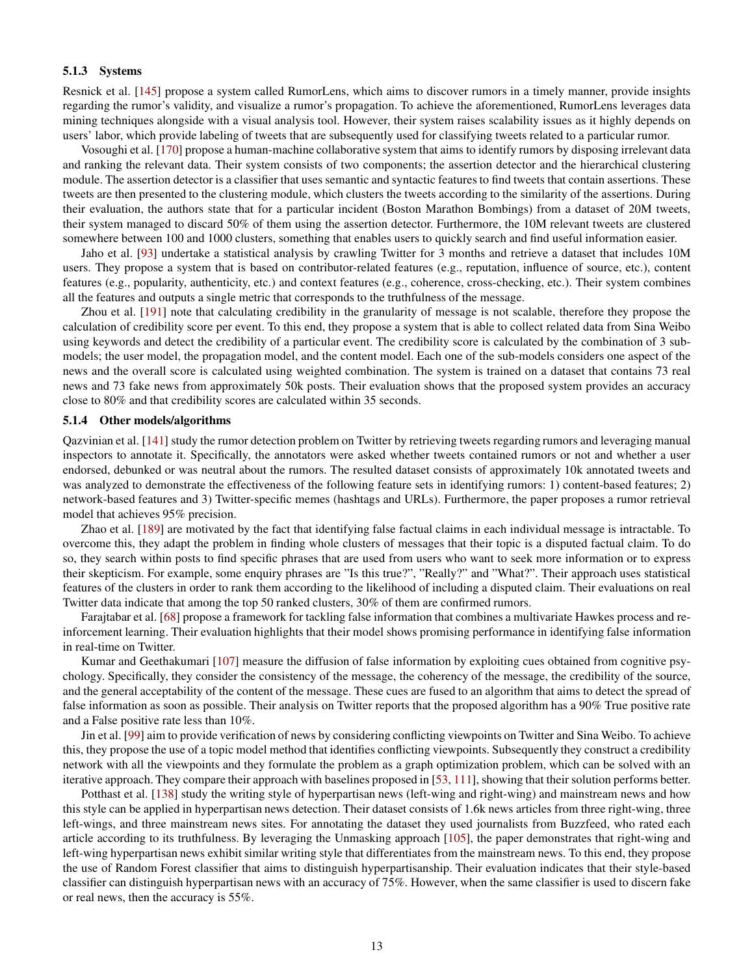#### 5.1.3 Systems

Resnick et al. [\[145\]](#page-23-14) propose a system called RumorLens, which aims to discover rumors in a timely manner, provide insights regarding the rumor's validity, and visualize a rumor's propagation. To achieve the aforementioned, RumorLens leverages data mining techniques alongside with a visual analysis tool. However, their system raises scalability issues as it highly depends on users' labor, which provide labeling of tweets that are subsequently used for classifying tweets related to a particular rumor.

Vosoughi et al. [\[170\]](#page-24-12) propose a human-machine collaborative system that aims to identify rumors by disposing irrelevant data and ranking the relevant data. Their system consists of two components; the assertion detector and the hierarchical clustering module. The assertion detector is a classifier that uses semantic and syntactic features to find tweets that contain assertions. These tweets are then presented to the clustering module, which clusters the tweets according to the similarity of the assertions. During their evaluation, the authors state that for a particular incident (Boston Marathon Bombings) from a dataset of 20M tweets, their system managed to discard 50% of them using the assertion detector. Furthermore, the 10M relevant tweets are clustered somewhere between 100 and 1000 clusters, something that enables users to quickly search and find useful information easier.

Jaho et al. [\[93\]](#page-22-15) undertake a statistical analysis by crawling Twitter for 3 months and retrieve a dataset that includes 10M users. They propose a system that is based on contributor-related features (e.g., reputation, influence of source, etc.), content features (e.g., popularity, authenticity, etc.) and context features (e.g., coherence, cross-checking, etc.). Their system combines all the features and outputs a single metric that corresponds to the truthfulness of the message.

Zhou et al. [\[191\]](#page-25-5) note that calculating credibility in the granularity of message is not scalable, therefore they propose the calculation of credibility score per event. To this end, they propose a system that is able to collect related data from Sina Weibo using keywords and detect the credibility of a particular event. The credibility score is calculated by the combination of 3 submodels; the user model, the propagation model, and the content model. Each one of the sub-models considers one aspect of the news and the overall score is calculated using weighted combination. The system is trained on a dataset that contains 73 real news and 73 fake news from approximately 50k posts. Their evaluation shows that the proposed system provides an accuracy close to 80% and that credibility scores are calculated within 35 seconds.

#### 5.1.4 Other models/algorithms

Qazvinian et al. [\[141\]](#page-23-15) study the rumor detection problem on Twitter by retrieving tweets regarding rumors and leveraging manual inspectors to annotate it. Specifically, the annotators were asked whether tweets contained rumors or not and whether a user endorsed, debunked or was neutral about the rumors. The resulted dataset consists of approximately 10k annotated tweets and was analyzed to demonstrate the effectiveness of the following feature sets in identifying rumors: 1) content-based features; 2) network-based features and 3) Twitter-specific memes (hashtags and URLs). Furthermore, the paper proposes a rumor retrieval model that achieves 95% precision.

Zhao et al. [\[189\]](#page-25-3) are motivated by the fact that identifying false factual claims in each individual message is intractable. To overcome this, they adapt the problem in finding whole clusters of messages that their topic is a disputed factual claim. To do so, they search within posts to find specific phrases that are used from users who want to seek more information or to express their skepticism. For example, some enquiry phrases are "Is this true?", "Really?" and "What?". Their approach uses statistical features of the clusters in order to rank them according to the likelihood of including a disputed claim. Their evaluations on real Twitter data indicate that among the top 50 ranked clusters, 30% of them are confirmed rumors.

Farajtabar et al. [\[68\]](#page-21-17) propose a framework for tackling false information that combines a multivariate Hawkes process and reinforcement learning. Their evaluation highlights that their model shows promising performance in identifying false information in real-time on Twitter.

Kumar and Geethakumari [\[107\]](#page-22-16) measure the diffusion of false information by exploiting cues obtained from cognitive psychology. Specifically, they consider the consistency of the message, the coherency of the message, the credibility of the source, and the general acceptability of the content of the message. These cues are fused to an algorithm that aims to detect the spread of false information as soon as possible. Their analysis on Twitter reports that the proposed algorithm has a 90% True positive rate and a False positive rate less than 10%.

Jin et al. [\[99\]](#page-22-20) aim to provide verification of news by considering conflicting viewpoints on Twitter and Sina Weibo. To achieve this, they propose the use of a topic model method that identifies conflicting viewpoints. Subsequently they construct a credibility network with all the viewpoints and they formulate the problem as a graph optimization problem, which can be solved with an iterative approach. They compare their approach with baselines proposed in [\[53,](#page-20-19) [111\]](#page-22-12), showing that their solution performs better.

Potthast et al. [\[138\]](#page-23-1) study the writing style of hyperpartisan news (left-wing and right-wing) and mainstream news and how this style can be applied in hyperpartisan news detection. Their dataset consists of 1.6k news articles from three right-wing, three left-wings, and three mainstream news sites. For annotating the dataset they used journalists from Buzzfeed, who rated each article according to its truthfulness. By leveraging the Unmasking approach [\[105\]](#page-22-24), the paper demonstrates that right-wing and left-wing hyperpartisan news exhibit similar writing style that differentiates from the mainstream news. To this end, they propose the use of Random Forest classifier that aims to distinguish hyperpartisanship. Their evaluation indicates that their style-based classifier can distinguish hyperpartisan news with an accuracy of 75%. However, when the same classifier is used to discern fake or real news, then the accuracy is 55%.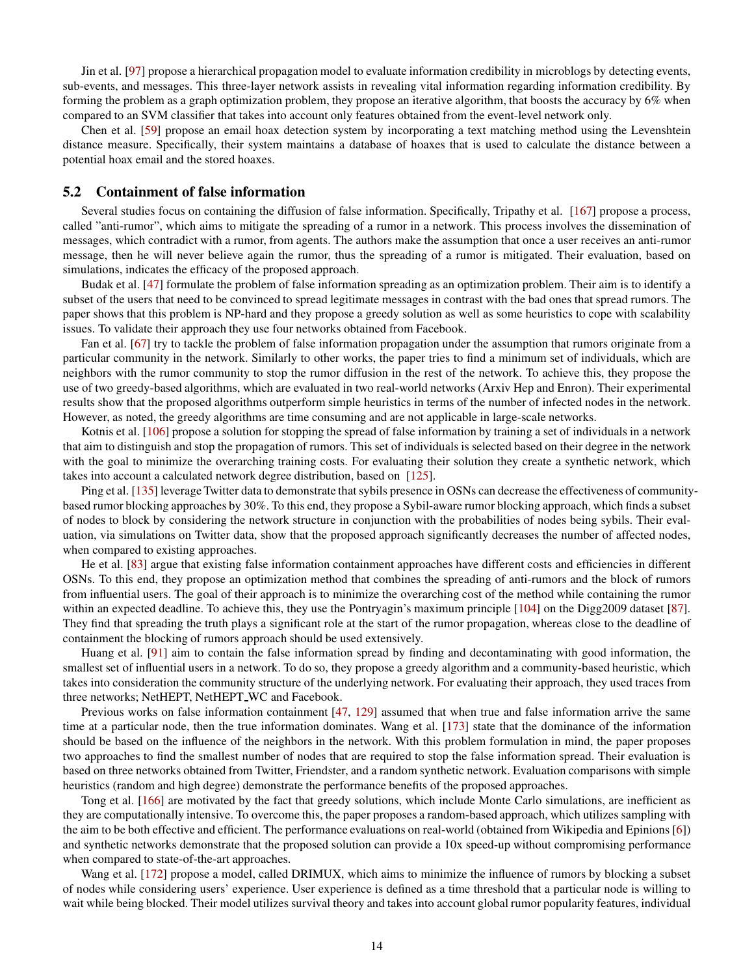Jin et al. [\[97\]](#page-22-22) propose a hierarchical propagation model to evaluate information credibility in microblogs by detecting events, sub-events, and messages. This three-layer network assists in revealing vital information regarding information credibility. By forming the problem as a graph optimization problem, they propose an iterative algorithm, that boosts the accuracy by 6% when compared to an SVM classifier that takes into account only features obtained from the event-level network only.

Chen et al. [\[59\]](#page-21-19) propose an email hoax detection system by incorporating a text matching method using the Levenshtein distance measure. Specifically, their system maintains a database of hoaxes that is used to calculate the distance between a potential hoax email and the stored hoaxes.

#### 5.2 Containment of false information

Several studies focus on containing the diffusion of false information. Specifically, Tripathy et al. [\[167\]](#page-24-19) propose a process, called "anti-rumor", which aims to mitigate the spreading of a rumor in a network. This process involves the dissemination of messages, which contradict with a rumor, from agents. The authors make the assumption that once a user receives an anti-rumor message, then he will never believe again the rumor, thus the spreading of a rumor is mitigated. Their evaluation, based on simulations, indicates the efficacy of the proposed approach.

Budak et al. [\[47\]](#page-20-29) formulate the problem of false information spreading as an optimization problem. Their aim is to identify a subset of the users that need to be convinced to spread legitimate messages in contrast with the bad ones that spread rumors. The paper shows that this problem is NP-hard and they propose a greedy solution as well as some heuristics to cope with scalability issues. To validate their approach they use four networks obtained from Facebook.

Fan et al. [\[67\]](#page-21-21) try to tackle the problem of false information propagation under the assumption that rumors originate from a particular community in the network. Similarly to other works, the paper tries to find a minimum set of individuals, which are neighbors with the rumor community to stop the rumor diffusion in the rest of the network. To achieve this, they propose the use of two greedy-based algorithms, which are evaluated in two real-world networks (Arxiv Hep and Enron). Their experimental results show that the proposed algorithms outperform simple heuristics in terms of the number of infected nodes in the network. However, as noted, the greedy algorithms are time consuming and are not applicable in large-scale networks.

Kotnis et al. [\[106\]](#page-22-25) propose a solution for stopping the spread of false information by training a set of individuals in a network that aim to distinguish and stop the propagation of rumors. This set of individuals is selected based on their degree in the network with the goal to minimize the overarching training costs. For evaluating their solution they create a synthetic network, which takes into account a calculated network degree distribution, based on [\[125\]](#page-23-20).

Ping et al. [\[135\]](#page-23-21) leverage Twitter data to demonstrate that sybils presence in OSNs can decrease the effectiveness of communitybased rumor blocking approaches by 30%. To this end, they propose a Sybil-aware rumor blocking approach, which finds a subset of nodes to block by considering the network structure in conjunction with the probabilities of nodes being sybils. Their evaluation, via simulations on Twitter data, show that the proposed approach significantly decreases the number of affected nodes, when compared to existing approaches.

He et al. [\[83\]](#page-21-22) argue that existing false information containment approaches have different costs and efficiencies in different OSNs. To this end, they propose an optimization method that combines the spreading of anti-rumors and the block of rumors from influential users. The goal of their approach is to minimize the overarching cost of the method while containing the rumor within an expected deadline. To achieve this, they use the Pontryagin's maximum principle [\[104\]](#page-22-26) on the Digg2009 dataset [\[87\]](#page-21-23). They find that spreading the truth plays a significant role at the start of the rumor propagation, whereas close to the deadline of containment the blocking of rumors approach should be used extensively.

Huang et al. [\[91\]](#page-21-6) aim to contain the false information spread by finding and decontaminating with good information, the smallest set of influential users in a network. To do so, they propose a greedy algorithm and a community-based heuristic, which takes into consideration the community structure of the underlying network. For evaluating their approach, they used traces from three networks; NetHEPT, NetHEPT WC and Facebook.

Previous works on false information containment [\[47,](#page-20-29) [129\]](#page-23-22) assumed that when true and false information arrive the same time at a particular node, then the true information dominates. Wang et al. [\[173\]](#page-24-20) state that the dominance of the information should be based on the influence of the neighbors in the network. With this problem formulation in mind, the paper proposes two approaches to find the smallest number of nodes that are required to stop the false information spread. Their evaluation is based on three networks obtained from Twitter, Friendster, and a random synthetic network. Evaluation comparisons with simple heuristics (random and high degree) demonstrate the performance benefits of the proposed approaches.

Tong et al. [\[166\]](#page-24-21) are motivated by the fact that greedy solutions, which include Monte Carlo simulations, are inefficient as they are computationally intensive. To overcome this, the paper proposes a random-based approach, which utilizes sampling with the aim to be both effective and efficient. The performance evaluations on real-world (obtained from Wikipedia and Epinions [\[6\]](#page-19-19)) and synthetic networks demonstrate that the proposed solution can provide a 10x speed-up without compromising performance when compared to state-of-the-art approaches.

Wang et al. [\[172\]](#page-24-22) propose a model, called DRIMUX, which aims to minimize the influence of rumors by blocking a subset of nodes while considering users' experience. User experience is defined as a time threshold that a particular node is willing to wait while being blocked. Their model utilizes survival theory and takes into account global rumor popularity features, individual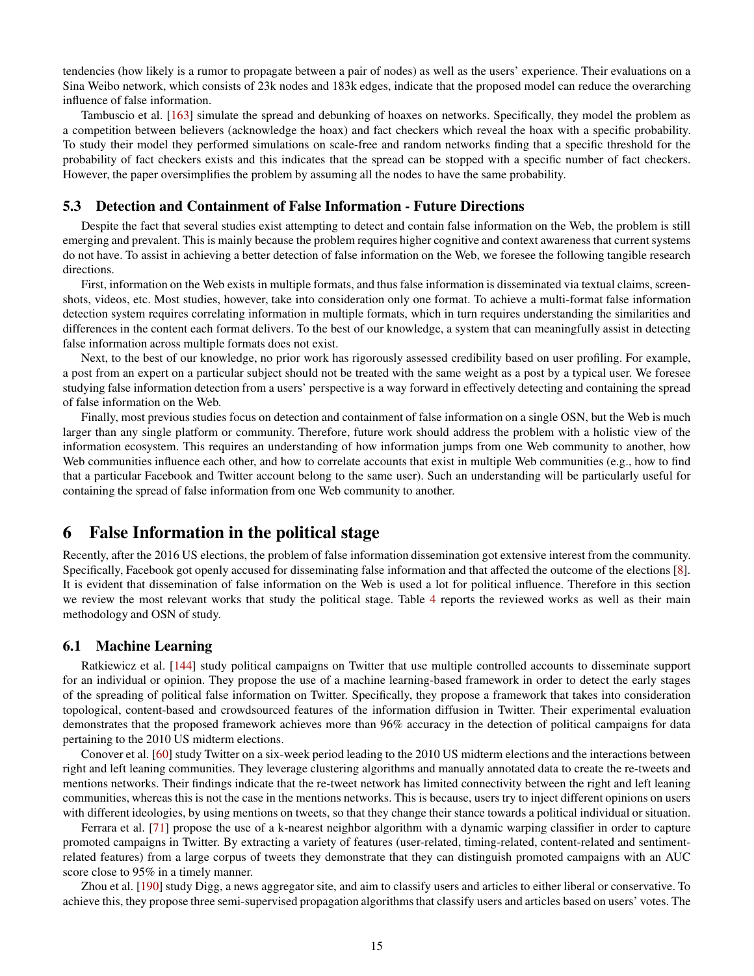tendencies (how likely is a rumor to propagate between a pair of nodes) as well as the users' experience. Their evaluations on a Sina Weibo network, which consists of 23k nodes and 183k edges, indicate that the proposed model can reduce the overarching influence of false information.

Tambuscio et al. [\[163\]](#page-24-23) simulate the spread and debunking of hoaxes on networks. Specifically, they model the problem as a competition between believers (acknowledge the hoax) and fact checkers which reveal the hoax with a specific probability. To study their model they performed simulations on scale-free and random networks finding that a specific threshold for the probability of fact checkers exists and this indicates that the spread can be stopped with a specific number of fact checkers. However, the paper oversimplifies the problem by assuming all the nodes to have the same probability.

### 5.3 Detection and Containment of False Information - Future Directions

Despite the fact that several studies exist attempting to detect and contain false information on the Web, the problem is still emerging and prevalent. This is mainly because the problem requires higher cognitive and context awareness that current systems do not have. To assist in achieving a better detection of false information on the Web, we foresee the following tangible research directions.

First, information on the Web exists in multiple formats, and thus false information is disseminated via textual claims, screenshots, videos, etc. Most studies, however, take into consideration only one format. To achieve a multi-format false information detection system requires correlating information in multiple formats, which in turn requires understanding the similarities and differences in the content each format delivers. To the best of our knowledge, a system that can meaningfully assist in detecting false information across multiple formats does not exist.

Next, to the best of our knowledge, no prior work has rigorously assessed credibility based on user profiling. For example, a post from an expert on a particular subject should not be treated with the same weight as a post by a typical user. We foresee studying false information detection from a users' perspective is a way forward in effectively detecting and containing the spread of false information on the Web.

Finally, most previous studies focus on detection and containment of false information on a single OSN, but the Web is much larger than any single platform or community. Therefore, future work should address the problem with a holistic view of the information ecosystem. This requires an understanding of how information jumps from one Web community to another, how Web communities influence each other, and how to correlate accounts that exist in multiple Web communities (e.g., how to find that a particular Facebook and Twitter account belong to the same user). Such an understanding will be particularly useful for containing the spread of false information from one Web community to another.

### <span id="page-14-0"></span>6 False Information in the political stage

Recently, after the 2016 US elections, the problem of false information dissemination got extensive interest from the community. Specifically, Facebook got openly accused for disseminating false information and that affected the outcome of the elections [\[8\]](#page-19-1). It is evident that dissemination of false information on the Web is used a lot for political influence. Therefore in this section we review the most relevant works that study the political stage. Table [4](#page-15-0) reports the reviewed works as well as their main methodology and OSN of study.

### 6.1 Machine Learning

Ratkiewicz et al. [\[144\]](#page-23-23) study political campaigns on Twitter that use multiple controlled accounts to disseminate support for an individual or opinion. They propose the use of a machine learning-based framework in order to detect the early stages of the spreading of political false information on Twitter. Specifically, they propose a framework that takes into consideration topological, content-based and crowdsourced features of the information diffusion in Twitter. Their experimental evaluation demonstrates that the proposed framework achieves more than 96% accuracy in the detection of political campaigns for data pertaining to the 2010 US midterm elections.

Conover et al. [\[60\]](#page-21-24) study Twitter on a six-week period leading to the 2010 US midterm elections and the interactions between right and left leaning communities. They leverage clustering algorithms and manually annotated data to create the re-tweets and mentions networks. Their findings indicate that the re-tweet network has limited connectivity between the right and left leaning communities, whereas this is not the case in the mentions networks. This is because, users try to inject different opinions on users with different ideologies, by using mentions on tweets, so that they change their stance towards a political individual or situation.

Ferrara et al. [\[71\]](#page-21-25) propose the use of a k-nearest neighbor algorithm with a dynamic warping classifier in order to capture promoted campaigns in Twitter. By extracting a variety of features (user-related, timing-related, content-related and sentimentrelated features) from a large corpus of tweets they demonstrate that they can distinguish promoted campaigns with an AUC score close to 95% in a timely manner.

Zhou et al. [\[190\]](#page-25-6) study Digg, a news aggregator site, and aim to classify users and articles to either liberal or conservative. To achieve this, they propose three semi-supervised propagation algorithms that classify users and articles based on users' votes. The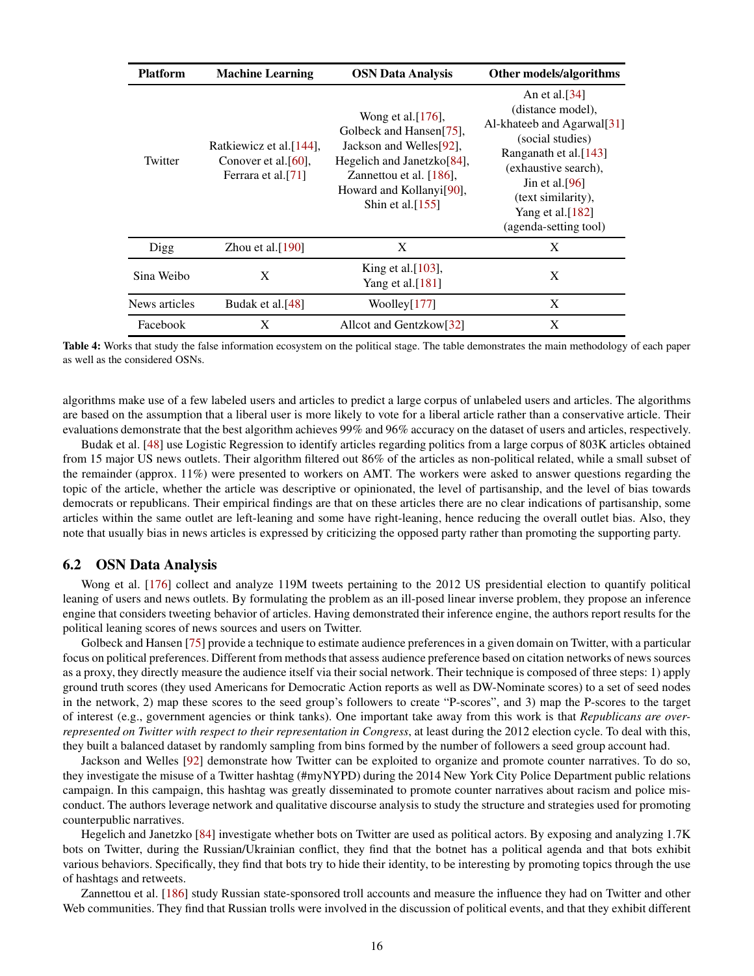<span id="page-15-0"></span>

| <b>Platform</b> | <b>Machine Learning</b>                                                               | <b>OSN Data Analysis</b>                                                                                                                                                                             | Other models/algorithms                                                                                                                                                                                                                    |
|-----------------|---------------------------------------------------------------------------------------|------------------------------------------------------------------------------------------------------------------------------------------------------------------------------------------------------|--------------------------------------------------------------------------------------------------------------------------------------------------------------------------------------------------------------------------------------------|
| Twitter         | Ratkiewicz et al. [144],<br>Conover et al. $[60]$ ,<br>Ferrara et al. <sup>[71]</sup> | Wong et al. $[176]$ ,<br>Golbeck and Hansen[75],<br>Jackson and Welles[92],<br>Hegelich and Janetzko[84],<br>Zannettou et al. [186].<br>Howard and Kollanyi <sup>[90]</sup> ,<br>Shin et al. $[155]$ | An et al. $[34]$<br>(distance model),<br>Al-khateeb and Agarwal <sup>[31]</sup><br>(social studies)<br>Ranganath et al.[143]<br>(exhaustive search),<br>Jin et al. [96]<br>(text similarity),<br>Yang et al.[182]<br>(agenda-setting tool) |
| Digg            | Zhou et al. $[190]$                                                                   | X                                                                                                                                                                                                    | X                                                                                                                                                                                                                                          |
| Sina Weibo      | X                                                                                     | King et al. $[103]$ ,<br>Yang et al. <sup>[181]</sup>                                                                                                                                                | X                                                                                                                                                                                                                                          |
| News articles   | Budak et al. <sup>[48]</sup>                                                          | Woolley[177]                                                                                                                                                                                         | X                                                                                                                                                                                                                                          |
| Facebook        | X                                                                                     | Allcot and Gentzkow[32]                                                                                                                                                                              | X                                                                                                                                                                                                                                          |

Table 4: Works that study the false information ecosystem on the political stage. The table demonstrates the main methodology of each paper as well as the considered OSNs.

algorithms make use of a few labeled users and articles to predict a large corpus of unlabeled users and articles. The algorithms are based on the assumption that a liberal user is more likely to vote for a liberal article rather than a conservative article. Their evaluations demonstrate that the best algorithm achieves 99% and 96% accuracy on the dataset of users and articles, respectively.

Budak et al. [\[48\]](#page-20-8) use Logistic Regression to identify articles regarding politics from a large corpus of 803K articles obtained from 15 major US news outlets. Their algorithm filtered out 86% of the articles as non-political related, while a small subset of the remainder (approx. 11%) were presented to workers on AMT. The workers were asked to answer questions regarding the topic of the article, whether the article was descriptive or opinionated, the level of partisanship, and the level of bias towards democrats or republicans. Their empirical findings are that on these articles there are no clear indications of partisanship, some articles within the same outlet are left-leaning and some have right-leaning, hence reducing the overall outlet bias. Also, they note that usually bias in news articles is expressed by criticizing the opposed party rather than promoting the supporting party.

#### 6.2 OSN Data Analysis

Wong et al. [\[176\]](#page-24-24) collect and analyze 119M tweets pertaining to the 2012 US presidential election to quantify political leaning of users and news outlets. By formulating the problem as an ill-posed linear inverse problem, they propose an inference engine that considers tweeting behavior of articles. Having demonstrated their inference engine, the authors report results for the political leaning scores of news sources and users on Twitter.

Golbeck and Hansen [\[75\]](#page-21-26) provide a technique to estimate audience preferences in a given domain on Twitter, with a particular focus on political preferences. Different from methods that assess audience preference based on citation networks of news sources as a proxy, they directly measure the audience itself via their social network. Their technique is composed of three steps: 1) apply ground truth scores (they used Americans for Democratic Action reports as well as DW-Nominate scores) to a set of seed nodes in the network, 2) map these scores to the seed group's followers to create "P-scores", and 3) map the P-scores to the target of interest (e.g., government agencies or think tanks). One important take away from this work is that *Republicans are overrepresented on Twitter with respect to their representation in Congress*, at least during the 2012 election cycle. To deal with this, they built a balanced dataset by randomly sampling from bins formed by the number of followers a seed group account had.

Jackson and Welles [\[92\]](#page-22-27) demonstrate how Twitter can be exploited to organize and promote counter narratives. To do so, they investigate the misuse of a Twitter hashtag (#myNYPD) during the 2014 New York City Police Department public relations campaign. In this campaign, this hashtag was greatly disseminated to promote counter narratives about racism and police misconduct. The authors leverage network and qualitative discourse analysis to study the structure and strategies used for promoting counterpublic narratives.

Hegelich and Janetzko [\[84\]](#page-21-27) investigate whether bots on Twitter are used as political actors. By exposing and analyzing 1.7K bots on Twitter, during the Russian/Ukrainian conflict, they find that the botnet has a political agenda and that bots exhibit various behaviors. Specifically, they find that bots try to hide their identity, to be interesting by promoting topics through the use of hashtags and retweets.

Zannettou et al. [\[186\]](#page-24-1) study Russian state-sponsored troll accounts and measure the influence they had on Twitter and other Web communities. They find that Russian trolls were involved in the discussion of political events, and that they exhibit different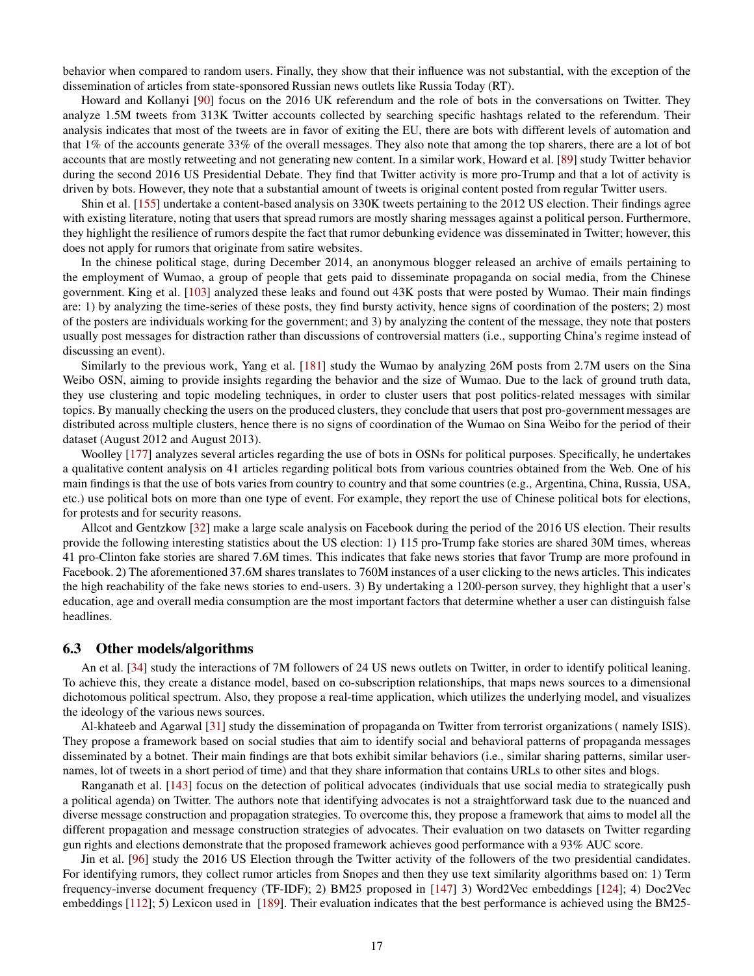behavior when compared to random users. Finally, they show that their influence was not substantial, with the exception of the dissemination of articles from state-sponsored Russian news outlets like Russia Today (RT).

Howard and Kollanyi [\[90\]](#page-21-28) focus on the 2016 UK referendum and the role of bots in the conversations on Twitter. They analyze 1.5M tweets from 313K Twitter accounts collected by searching specific hashtags related to the referendum. Their analysis indicates that most of the tweets are in favor of exiting the EU, there are bots with different levels of automation and that 1% of the accounts generate 33% of the overall messages. They also note that among the top sharers, there are a lot of bot accounts that are mostly retweeting and not generating new content. In a similar work, Howard et al. [\[89\]](#page-21-29) study Twitter behavior during the second 2016 US Presidential Debate. They find that Twitter activity is more pro-Trump and that a lot of activity is driven by bots. However, they note that a substantial amount of tweets is original content posted from regular Twitter users.

Shin et al. [\[155\]](#page-23-24) undertake a content-based analysis on 330K tweets pertaining to the 2012 US election. Their findings agree with existing literature, noting that users that spread rumors are mostly sharing messages against a political person. Furthermore, they highlight the resilience of rumors despite the fact that rumor debunking evidence was disseminated in Twitter; however, this does not apply for rumors that originate from satire websites.

In the chinese political stage, during December 2014, an anonymous blogger released an archive of emails pertaining to the employment of Wumao, a group of people that gets paid to disseminate propaganda on social media, from the Chinese government. King et al. [\[103\]](#page-22-29) analyzed these leaks and found out 43K posts that were posted by Wumao. Their main findings are: 1) by analyzing the time-series of these posts, they find bursty activity, hence signs of coordination of the posters; 2) most of the posters are individuals working for the government; and 3) by analyzing the content of the message, they note that posters usually post messages for distraction rather than discussions of controversial matters (i.e., supporting China's regime instead of discussing an event).

Similarly to the previous work, Yang et al. [\[181\]](#page-24-26) study the Wumao by analyzing 26M posts from 2.7M users on the Sina Weibo OSN, aiming to provide insights regarding the behavior and the size of Wumao. Due to the lack of ground truth data, they use clustering and topic modeling techniques, in order to cluster users that post politics-related messages with similar topics. By manually checking the users on the produced clusters, they conclude that users that post pro-government messages are distributed across multiple clusters, hence there is no signs of coordination of the Wumao on Sina Weibo for the period of their dataset (August 2012 and August 2013).

Woolley [\[177\]](#page-24-27) analyzes several articles regarding the use of bots in OSNs for political purposes. Specifically, he undertakes a qualitative content analysis on 41 articles regarding political bots from various countries obtained from the Web. One of his main findings is that the use of bots varies from country to country and that some countries (e.g., Argentina, China, Russia, USA, etc.) use political bots on more than one type of event. For example, they report the use of Chinese political bots for elections, for protests and for security reasons.

Allcot and Gentzkow [\[32\]](#page-20-31) make a large scale analysis on Facebook during the period of the 2016 US election. Their results provide the following interesting statistics about the US election: 1) 115 pro-Trump fake stories are shared 30M times, whereas 41 pro-Clinton fake stories are shared 7.6M times. This indicates that fake news stories that favor Trump are more profound in Facebook. 2) The aforementioned 37.6M shares translates to 760M instances of a user clicking to the news articles. This indicates the high reachability of the fake news stories to end-users. 3) By undertaking a 1200-person survey, they highlight that a user's education, age and overall media consumption are the most important factors that determine whether a user can distinguish false headlines.

#### 6.3 Other models/algorithms

An et al. [\[34\]](#page-20-30) study the interactions of 7M followers of 24 US news outlets on Twitter, in order to identify political leaning. To achieve this, they create a distance model, based on co-subscription relationships, that maps news sources to a dimensional dichotomous political spectrum. Also, they propose a real-time application, which utilizes the underlying model, and visualizes the ideology of the various news sources.

Al-khateeb and Agarwal [\[31\]](#page-20-0) study the dissemination of propaganda on Twitter from terrorist organizations ( namely ISIS). They propose a framework based on social studies that aim to identify social and behavioral patterns of propaganda messages disseminated by a botnet. Their main findings are that bots exhibit similar behaviors (i.e., similar sharing patterns, similar usernames, lot of tweets in a short period of time) and that they share information that contains URLs to other sites and blogs.

Ranganath et al. [\[143\]](#page-23-25) focus on the detection of political advocates (individuals that use social media to strategically push a political agenda) on Twitter. The authors note that identifying advocates is not a straightforward task due to the nuanced and diverse message construction and propagation strategies. To overcome this, they propose a framework that aims to model all the different propagation and message construction strategies of advocates. Their evaluation on two datasets on Twitter regarding gun rights and elections demonstrate that the proposed framework achieves good performance with a 93% AUC score.

Jin et al. [\[96\]](#page-22-28) study the 2016 US Election through the Twitter activity of the followers of the two presidential candidates. For identifying rumors, they collect rumor articles from Snopes and then they use text similarity algorithms based on: 1) Term frequency-inverse document frequency (TF-IDF); 2) BM25 proposed in [\[147\]](#page-23-26) 3) Word2Vec embeddings [\[124\]](#page-22-23); 4) Doc2Vec embeddings [\[112\]](#page-22-30); 5) Lexicon used in [\[189\]](#page-25-3). Their evaluation indicates that the best performance is achieved using the BM25-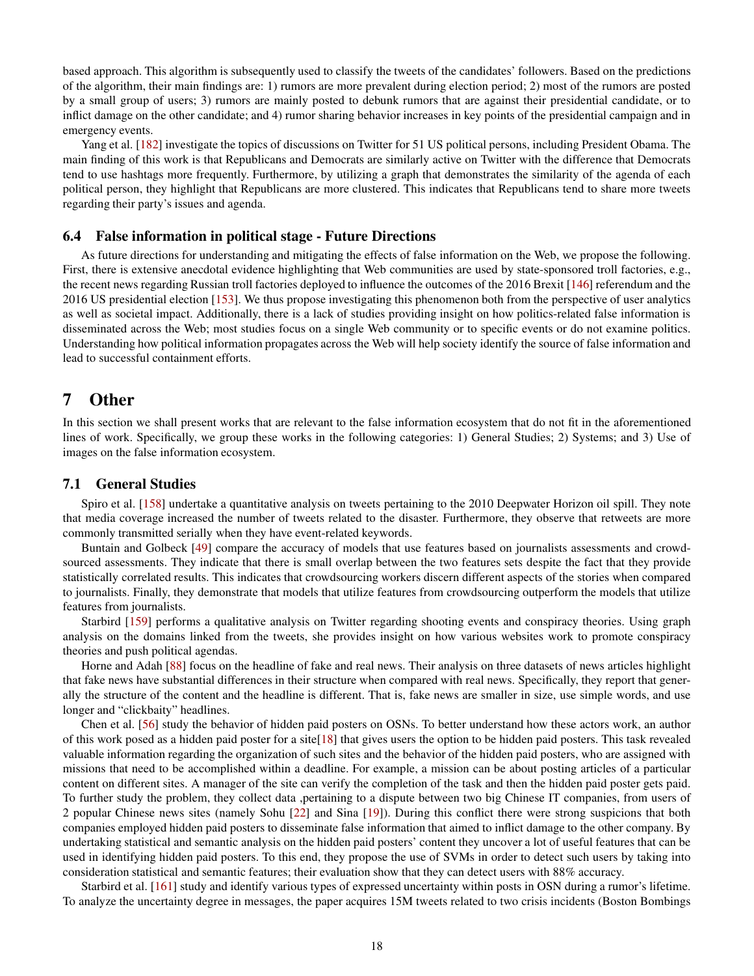based approach. This algorithm is subsequently used to classify the tweets of the candidates' followers. Based on the predictions of the algorithm, their main findings are: 1) rumors are more prevalent during election period; 2) most of the rumors are posted by a small group of users; 3) rumors are mainly posted to debunk rumors that are against their presidential candidate, or to inflict damage on the other candidate; and 4) rumor sharing behavior increases in key points of the presidential campaign and in emergency events.

Yang et al. [\[182\]](#page-24-25) investigate the topics of discussions on Twitter for 51 US political persons, including President Obama. The main finding of this work is that Republicans and Democrats are similarly active on Twitter with the difference that Democrats tend to use hashtags more frequently. Furthermore, by utilizing a graph that demonstrates the similarity of the agenda of each political person, they highlight that Republicans are more clustered. This indicates that Republicans tend to share more tweets regarding their party's issues and agenda.

#### 6.4 False information in political stage - Future Directions

As future directions for understanding and mitigating the effects of false information on the Web, we propose the following. First, there is extensive anecdotal evidence highlighting that Web communities are used by state-sponsored troll factories, e.g., the recent news regarding Russian troll factories deployed to influence the outcomes of the 2016 Brexit [\[146\]](#page-23-27) referendum and the 2016 US presidential election [\[153\]](#page-23-28). We thus propose investigating this phenomenon both from the perspective of user analytics as well as societal impact. Additionally, there is a lack of studies providing insight on how politics-related false information is disseminated across the Web; most studies focus on a single Web community or to specific events or do not examine politics. Understanding how political information propagates across the Web will help society identify the source of false information and lead to successful containment efforts.

# <span id="page-17-0"></span>7 Other

In this section we shall present works that are relevant to the false information ecosystem that do not fit in the aforementioned lines of work. Specifically, we group these works in the following categories: 1) General Studies; 2) Systems; and 3) Use of images on the false information ecosystem.

#### 7.1 General Studies

Spiro et al. [\[158\]](#page-24-28) undertake a quantitative analysis on tweets pertaining to the 2010 Deepwater Horizon oil spill. They note that media coverage increased the number of tweets related to the disaster. Furthermore, they observe that retweets are more commonly transmitted serially when they have event-related keywords.

Buntain and Golbeck [\[49\]](#page-20-32) compare the accuracy of models that use features based on journalists assessments and crowdsourced assessments. They indicate that there is small overlap between the two features sets despite the fact that they provide statistically correlated results. This indicates that crowdsourcing workers discern different aspects of the stories when compared to journalists. Finally, they demonstrate that models that utilize features from crowdsourcing outperform the models that utilize features from journalists.

Starbird [\[159\]](#page-24-29) performs a qualitative analysis on Twitter regarding shooting events and conspiracy theories. Using graph analysis on the domains linked from the tweets, she provides insight on how various websites work to promote conspiracy theories and push political agendas.

Horne and Adah [\[88\]](#page-21-30) focus on the headline of fake and real news. Their analysis on three datasets of news articles highlight that fake news have substantial differences in their structure when compared with real news. Specifically, they report that generally the structure of the content and the headline is different. That is, fake news are smaller in size, use simple words, and use longer and "clickbaity" headlines.

Chen et al. [\[56\]](#page-20-6) study the behavior of hidden paid posters on OSNs. To better understand how these actors work, an author of this work posed as a hidden paid poster for a site[\[18\]](#page-19-20) that gives users the option to be hidden paid posters. This task revealed valuable information regarding the organization of such sites and the behavior of the hidden paid posters, who are assigned with missions that need to be accomplished within a deadline. For example, a mission can be about posting articles of a particular content on different sites. A manager of the site can verify the completion of the task and then the hidden paid poster gets paid. To further study the problem, they collect data ,pertaining to a dispute between two big Chinese IT companies, from users of 2 popular Chinese news sites (namely Sohu [\[22\]](#page-19-21) and Sina [\[19\]](#page-19-22)). During this conflict there were strong suspicions that both companies employed hidden paid posters to disseminate false information that aimed to inflict damage to the other company. By undertaking statistical and semantic analysis on the hidden paid posters' content they uncover a lot of useful features that can be used in identifying hidden paid posters. To this end, they propose the use of SVMs in order to detect such users by taking into consideration statistical and semantic features; their evaluation show that they can detect users with 88% accuracy.

Starbird et al. [\[161\]](#page-24-30) study and identify various types of expressed uncertainty within posts in OSN during a rumor's lifetime. To analyze the uncertainty degree in messages, the paper acquires 15M tweets related to two crisis incidents (Boston Bombings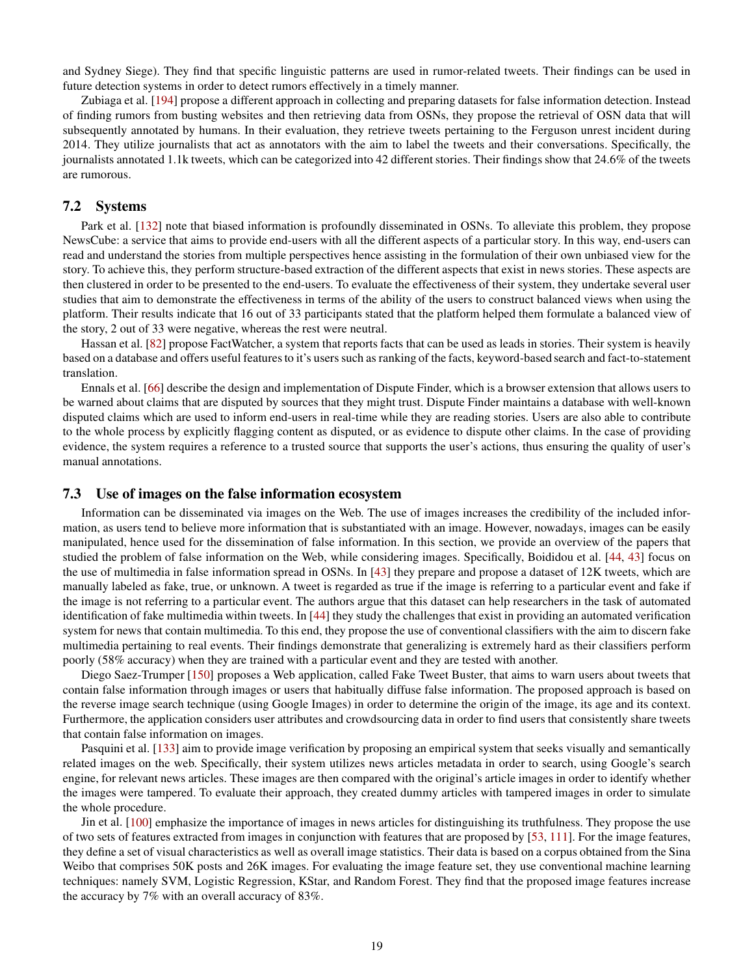and Sydney Siege). They find that specific linguistic patterns are used in rumor-related tweets. Their findings can be used in future detection systems in order to detect rumors effectively in a timely manner.

Zubiaga et al. [\[194\]](#page-25-7) propose a different approach in collecting and preparing datasets for false information detection. Instead of finding rumors from busting websites and then retrieving data from OSNs, they propose the retrieval of OSN data that will subsequently annotated by humans. In their evaluation, they retrieve tweets pertaining to the Ferguson unrest incident during 2014. They utilize journalists that act as annotators with the aim to label the tweets and their conversations. Specifically, the journalists annotated 1.1k tweets, which can be categorized into 42 different stories. Their findings show that 24.6% of the tweets are rumorous.

#### 7.2 Systems

Park et al. [\[132\]](#page-23-29) note that biased information is profoundly disseminated in OSNs. To alleviate this problem, they propose NewsCube: a service that aims to provide end-users with all the different aspects of a particular story. In this way, end-users can read and understand the stories from multiple perspectives hence assisting in the formulation of their own unbiased view for the story. To achieve this, they perform structure-based extraction of the different aspects that exist in news stories. These aspects are then clustered in order to be presented to the end-users. To evaluate the effectiveness of their system, they undertake several user studies that aim to demonstrate the effectiveness in terms of the ability of the users to construct balanced views when using the platform. Their results indicate that 16 out of 33 participants stated that the platform helped them formulate a balanced view of the story, 2 out of 33 were negative, whereas the rest were neutral.

Hassan et al. [\[82\]](#page-21-31) propose FactWatcher, a system that reports facts that can be used as leads in stories. Their system is heavily based on a database and offers useful features to it's users such as ranking of the facts, keyword-based search and fact-to-statement translation.

Ennals et al. [\[66\]](#page-21-32) describe the design and implementation of Dispute Finder, which is a browser extension that allows users to be warned about claims that are disputed by sources that they might trust. Dispute Finder maintains a database with well-known disputed claims which are used to inform end-users in real-time while they are reading stories. Users are also able to contribute to the whole process by explicitly flagging content as disputed, or as evidence to dispute other claims. In the case of providing evidence, the system requires a reference to a trusted source that supports the user's actions, thus ensuring the quality of user's manual annotations.

#### 7.3 Use of images on the false information ecosystem

Information can be disseminated via images on the Web. The use of images increases the credibility of the included information, as users tend to believe more information that is substantiated with an image. However, nowadays, images can be easily manipulated, hence used for the dissemination of false information. In this section, we provide an overview of the papers that studied the problem of false information on the Web, while considering images. Specifically, Boididou et al. [\[44,](#page-20-33) [43\]](#page-20-34) focus on the use of multimedia in false information spread in OSNs. In [\[43\]](#page-20-34) they prepare and propose a dataset of 12K tweets, which are manually labeled as fake, true, or unknown. A tweet is regarded as true if the image is referring to a particular event and fake if the image is not referring to a particular event. The authors argue that this dataset can help researchers in the task of automated identification of fake multimedia within tweets. In [\[44\]](#page-20-33) they study the challenges that exist in providing an automated verification system for news that contain multimedia. To this end, they propose the use of conventional classifiers with the aim to discern fake multimedia pertaining to real events. Their findings demonstrate that generalizing is extremely hard as their classifiers perform poorly (58% accuracy) when they are trained with a particular event and they are tested with another.

Diego Saez-Trumper [\[150\]](#page-23-30) proposes a Web application, called Fake Tweet Buster, that aims to warn users about tweets that contain false information through images or users that habitually diffuse false information. The proposed approach is based on the reverse image search technique (using Google Images) in order to determine the origin of the image, its age and its context. Furthermore, the application considers user attributes and crowdsourcing data in order to find users that consistently share tweets that contain false information on images.

Pasquini et al. [\[133\]](#page-23-31) aim to provide image verification by proposing an empirical system that seeks visually and semantically related images on the web. Specifically, their system utilizes news articles metadata in order to search, using Google's search engine, for relevant news articles. These images are then compared with the original's article images in order to identify whether the images were tampered. To evaluate their approach, they created dummy articles with tampered images in order to simulate the whole procedure.

Jin et al. [\[100\]](#page-22-31) emphasize the importance of images in news articles for distinguishing its truthfulness. They propose the use of two sets of features extracted from images in conjunction with features that are proposed by [\[53,](#page-20-19) [111\]](#page-22-12). For the image features, they define a set of visual characteristics as well as overall image statistics. Their data is based on a corpus obtained from the Sina Weibo that comprises 50K posts and 26K images. For evaluating the image feature set, they use conventional machine learning techniques: namely SVM, Logistic Regression, KStar, and Random Forest. They find that the proposed image features increase the accuracy by 7% with an overall accuracy of 83%.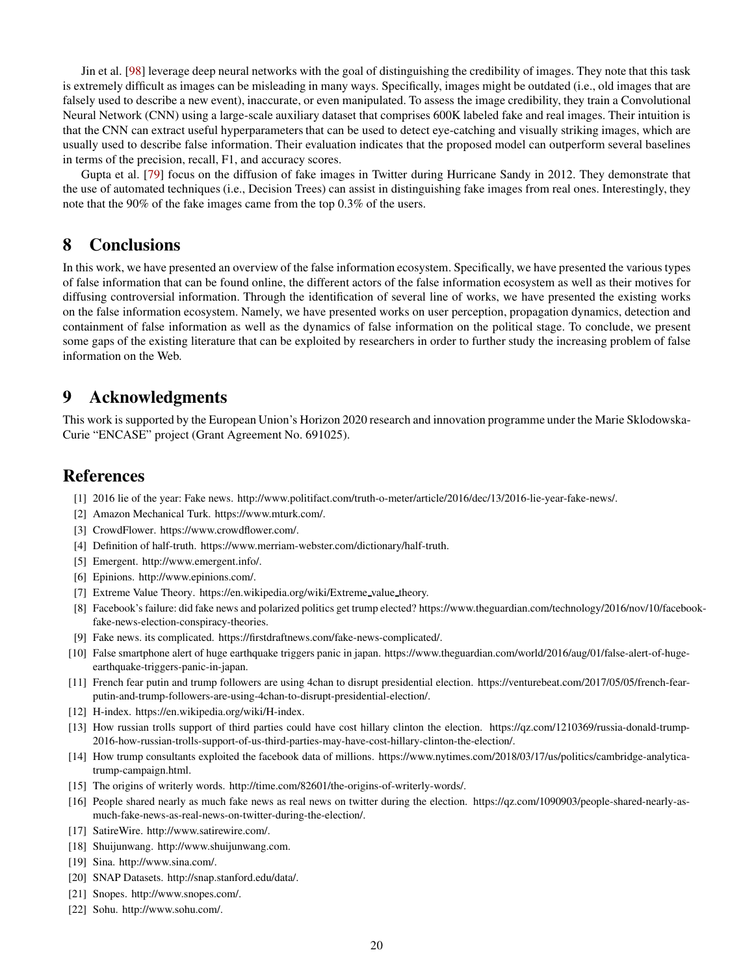Jin et al. [\[98\]](#page-22-32) leverage deep neural networks with the goal of distinguishing the credibility of images. They note that this task is extremely difficult as images can be misleading in many ways. Specifically, images might be outdated (i.e., old images that are falsely used to describe a new event), inaccurate, or even manipulated. To assess the image credibility, they train a Convolutional Neural Network (CNN) using a large-scale auxiliary dataset that comprises 600K labeled fake and real images. Their intuition is that the CNN can extract useful hyperparameters that can be used to detect eye-catching and visually striking images, which are usually used to describe false information. Their evaluation indicates that the proposed model can outperform several baselines in terms of the precision, recall, F1, and accuracy scores.

Gupta et al. [\[79\]](#page-21-33) focus on the diffusion of fake images in Twitter during Hurricane Sandy in 2012. They demonstrate that the use of automated techniques (i.e., Decision Trees) can assist in distinguishing fake images from real ones. Interestingly, they note that the 90% of the fake images came from the top 0.3% of the users.

# <span id="page-19-6"></span>8 Conclusions

In this work, we have presented an overview of the false information ecosystem. Specifically, we have presented the various types of false information that can be found online, the different actors of the false information ecosystem as well as their motives for diffusing controversial information. Through the identification of several line of works, we have presented the existing works on the false information ecosystem. Namely, we have presented works on user perception, propagation dynamics, detection and containment of false information as well as the dynamics of false information on the political stage. To conclude, we present some gaps of the existing literature that can be exploited by researchers in order to further study the increasing problem of false information on the Web.

# 9 Acknowledgments

This work is supported by the European Union's Horizon 2020 research and innovation programme under the Marie Sklodowska-Curie "ENCASE" project (Grant Agreement No. 691025).

# <span id="page-19-11"></span>**References**

- <span id="page-19-12"></span>[1] 2016 lie of the year: Fake news. http://www.politifact.com/truth-o-meter/article/2016/dec/13/2016-lie-year-fake-news/.
- <span id="page-19-18"></span>[2] Amazon Mechanical Turk. https://www.mturk.com/.
- <span id="page-19-8"></span>[3] CrowdFlower. https://www.crowdflower.com/.
- <span id="page-19-17"></span>[4] Definition of half-truth. https://www.merriam-webster.com/dictionary/half-truth.
- <span id="page-19-19"></span>[5] Emergent. http://www.emergent.info/.
- <span id="page-19-15"></span>[6] Epinions. http://www.epinions.com/.
- <span id="page-19-1"></span>[7] Extreme Value Theory. https://en.wikipedia.org/wiki/Extreme value theory.
- [8] Facebook's failure: did fake news and polarized politics get trump elected? https://www.theguardian.com/technology/2016/nov/10/facebookfake-news-election-conspiracy-theories.
- <span id="page-19-7"></span><span id="page-19-4"></span>[9] Fake news. its complicated. https://firstdraftnews.com/fake-news-complicated/.
- [10] False smartphone alert of huge earthquake triggers panic in japan. https://www.theguardian.com/world/2016/aug/01/false-alert-of-hugeearthquake-triggers-panic-in-japan.
- <span id="page-19-5"></span>[11] French fear putin and trump followers are using 4chan to disrupt presidential election. https://venturebeat.com/2017/05/05/french-fearputin-and-trump-followers-are-using-4chan-to-disrupt-presidential-election/.
- <span id="page-19-16"></span><span id="page-19-2"></span>[12] H-index. https://en.wikipedia.org/wiki/H-index.
- [13] How russian trolls support of third parties could have cost hillary clinton the election. https://qz.com/1210369/russia-donald-trump-2016-how-russian-trolls-support-of-us-third-parties-may-have-cost-hillary-clinton-the-election/.
- <span id="page-19-3"></span>[14] How trump consultants exploited the facebook data of millions. https://www.nytimes.com/2018/03/17/us/politics/cambridge-analyticatrump-campaign.html.
- <span id="page-19-9"></span><span id="page-19-0"></span>[15] The origins of writerly words. http://time.com/82601/the-origins-of-writerly-words/.
- [16] People shared nearly as much fake news as real news on twitter during the election. https://qz.com/1090903/people-shared-nearly-asmuch-fake-news-as-real-news-on-twitter-during-the-election/.
- <span id="page-19-20"></span><span id="page-19-10"></span>[17] SatireWire. http://www.satirewire.com/.
- <span id="page-19-22"></span>[18] Shuijunwang. http://www.shuijunwang.com.
- <span id="page-19-14"></span>[19] Sina. http://www.sina.com/.
- <span id="page-19-13"></span>[20] SNAP Datasets. http://snap.stanford.edu/data/.
- <span id="page-19-21"></span>[21] Snopes. http://www.snopes.com/.
- [22] Sohu. http://www.sohu.com/.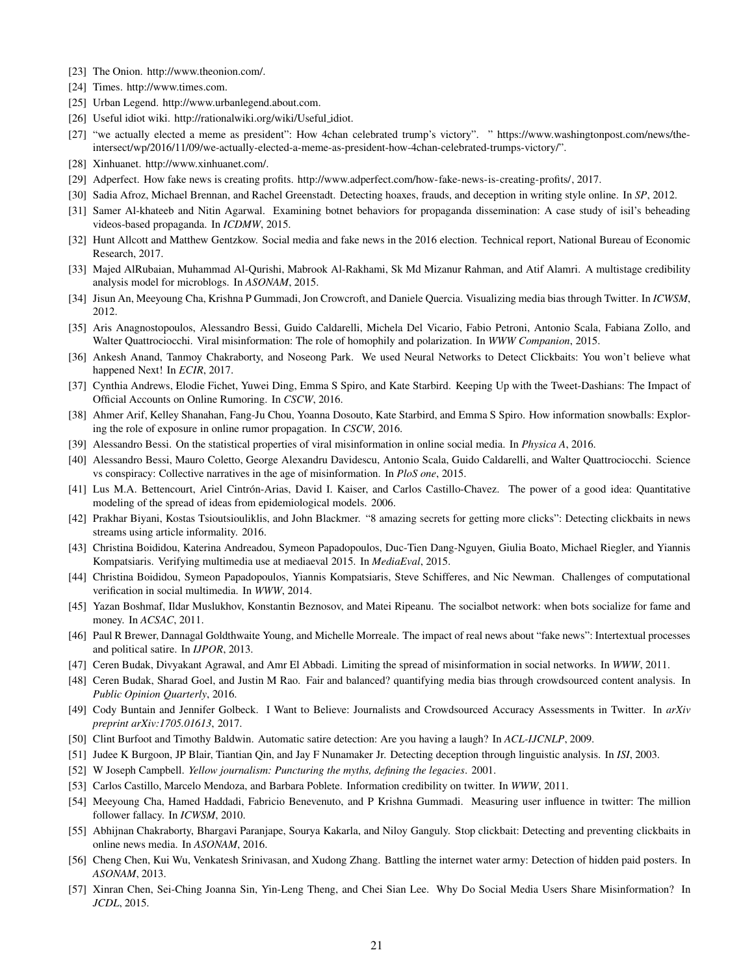- <span id="page-20-21"></span><span id="page-20-4"></span>[23] The Onion. http://www.theonion.com/.
- <span id="page-20-20"></span>[24] Times. http://www.times.com.
- <span id="page-20-7"></span>[25] Urban Legend. http://www.urbanlegend.about.com.
- <span id="page-20-1"></span>[26] Useful idiot wiki. http://rationalwiki.org/wiki/Useful idiot.
- [27] "we actually elected a meme as president": How 4chan celebrated trump's victory". " https://www.washingtonpost.com/news/theintersect/wp/2016/11/09/we-actually-elected-a-meme-as-president-how-4chan-celebrated-trumps-victory/".
- <span id="page-20-27"></span><span id="page-20-9"></span>[28] Xinhuanet. http://www.xinhuanet.com/.
- <span id="page-20-26"></span>[29] Adperfect. How fake news is creating profits. [http://www.adperfect.com/how-fake-news-is-creating-profits/,](http://www.adperfect.com/how-fake-news-is-creating-profits/) 2017.
- <span id="page-20-0"></span>[30] Sadia Afroz, Michael Brennan, and Rachel Greenstadt. Detecting hoaxes, frauds, and deception in writing style online. In *SP*, 2012.
- <span id="page-20-31"></span>[31] Samer Al-khateeb and Nitin Agarwal. Examining botnet behaviors for propaganda dissemination: A case study of isil's beheading videos-based propaganda. In *ICDMW*, 2015.
- <span id="page-20-22"></span>[32] Hunt Allcott and Matthew Gentzkow. Social media and fake news in the 2016 election. Technical report, National Bureau of Economic Research, 2017.
- [33] Majed AlRubaian, Muhammad Al-Qurishi, Mabrook Al-Rakhami, Sk Md Mizanur Rahman, and Atif Alamri. A multistage credibility analysis model for microblogs. In *ASONAM*, 2015.
- <span id="page-20-30"></span><span id="page-20-16"></span>[34] Jisun An, Meeyoung Cha, Krishna P Gummadi, Jon Crowcroft, and Daniele Quercia. Visualizing media bias through Twitter. In *ICWSM*, 2012.
- <span id="page-20-25"></span>[35] Aris Anagnostopoulos, Alessandro Bessi, Guido Caldarelli, Michela Del Vicario, Fabio Petroni, Antonio Scala, Fabiana Zollo, and Walter Quattrociocchi. Viral misinformation: The role of homophily and polarization. In *WWW Companion*, 2015.
- [36] Ankesh Anand, Tanmoy Chakraborty, and Noseong Park. We used Neural Networks to Detect Clickbaits: You won't believe what happened Next! In *ECIR*, 2017.
- <span id="page-20-14"></span>[37] Cynthia Andrews, Elodie Fichet, Yuwei Ding, Emma S Spiro, and Kate Starbird. Keeping Up with the Tweet-Dashians: The Impact of Official Accounts on Online Rumoring. In *CSCW*, 2016.
- <span id="page-20-15"></span>[38] Ahmer Arif, Kelley Shanahan, Fang-Ju Chou, Yoanna Dosouto, Kate Starbird, and Emma S Spiro. How information snowballs: Exploring the role of exposure in online rumor propagation. In *CSCW*, 2016.
- <span id="page-20-17"></span><span id="page-20-11"></span>[39] Alessandro Bessi. On the statistical properties of viral misinformation in online social media. In *Physica A*, 2016.
- [40] Alessandro Bessi, Mauro Coletto, George Alexandru Davidescu, Antonio Scala, Guido Caldarelli, and Walter Quattrociocchi. Science vs conspiracy: Collective narratives in the age of misinformation. In *PloS one*, 2015.
- <span id="page-20-18"></span>[41] Lus M.A. Bettencourt, Ariel Cintrón-Arias, David I. Kaiser, and Carlos Castillo-Chavez. The power of a good idea: Quantitative modeling of the spread of ideas from epidemiological models. 2006.
- <span id="page-20-24"></span>[42] Prakhar Biyani, Kostas Tsioutsiouliklis, and John Blackmer. "8 amazing secrets for getting more clicks": Detecting clickbaits in news streams using article informality. 2016.
- <span id="page-20-34"></span>[43] Christina Boididou, Katerina Andreadou, Symeon Papadopoulos, Duc-Tien Dang-Nguyen, Giulia Boato, Michael Riegler, and Yiannis Kompatsiaris. Verifying multimedia use at mediaeval 2015. In *MediaEval*, 2015.
- <span id="page-20-33"></span>[44] Christina Boididou, Symeon Papadopoulos, Yiannis Kompatsiaris, Steve Schifferes, and Nic Newman. Challenges of computational verification in social multimedia. In *WWW*, 2014.
- <span id="page-20-5"></span>[45] Yazan Boshmaf, Ildar Muslukhov, Konstantin Beznosov, and Matei Ripeanu. The socialbot network: when bots socialize for fame and money. In *ACSAC*, 2011.
- <span id="page-20-13"></span>[46] Paul R Brewer, Dannagal Goldthwaite Young, and Michelle Morreale. The impact of real news about "fake news": Intertextual processes and political satire. In *IJPOR*, 2013.
- <span id="page-20-29"></span><span id="page-20-8"></span>[47] Ceren Budak, Divyakant Agrawal, and Amr El Abbadi. Limiting the spread of misinformation in social networks. In *WWW*, 2011.
- [48] Ceren Budak, Sharad Goel, and Justin M Rao. Fair and balanced? quantifying media bias through crowdsourced content analysis. In *Public Opinion Quarterly*, 2016.
- <span id="page-20-32"></span>[49] Cody Buntain and Jennifer Golbeck. I Want to Believe: Journalists and Crowdsourced Accuracy Assessments in Twitter. In *arXiv preprint arXiv:1705.01613*, 2017.
- <span id="page-20-28"></span><span id="page-20-3"></span>[50] Clint Burfoot and Timothy Baldwin. Automatic satire detection: Are you having a laugh? In *ACL-IJCNLP*, 2009.
- <span id="page-20-2"></span>[51] Judee K Burgoon, JP Blair, Tiantian Qin, and Jay F Nunamaker Jr. Detecting deception through linguistic analysis. In *ISI*, 2003.
- <span id="page-20-19"></span>[52] W Joseph Campbell. *Yellow journalism: Puncturing the myths, defining the legacies*. 2001.
- <span id="page-20-10"></span>[53] Carlos Castillo, Marcelo Mendoza, and Barbara Poblete. Information credibility on twitter. In *WWW*, 2011.
- [54] Meeyoung Cha, Hamed Haddadi, Fabricio Benevenuto, and P Krishna Gummadi. Measuring user influence in twitter: The million follower fallacy. In *ICWSM*, 2010.
- <span id="page-20-23"></span>[55] Abhijnan Chakraborty, Bhargavi Paranjape, Sourya Kakarla, and Niloy Ganguly. Stop clickbait: Detecting and preventing clickbaits in online news media. In *ASONAM*, 2016.
- <span id="page-20-6"></span>[56] Cheng Chen, Kui Wu, Venkatesh Srinivasan, and Xudong Zhang. Battling the internet water army: Detection of hidden paid posters. In *ASONAM*, 2013.
- <span id="page-20-12"></span>[57] Xinran Chen, Sei-Ching Joanna Sin, Yin-Leng Theng, and Chei Sian Lee. Why Do Social Media Users Share Misinformation? In *JCDL*, 2015.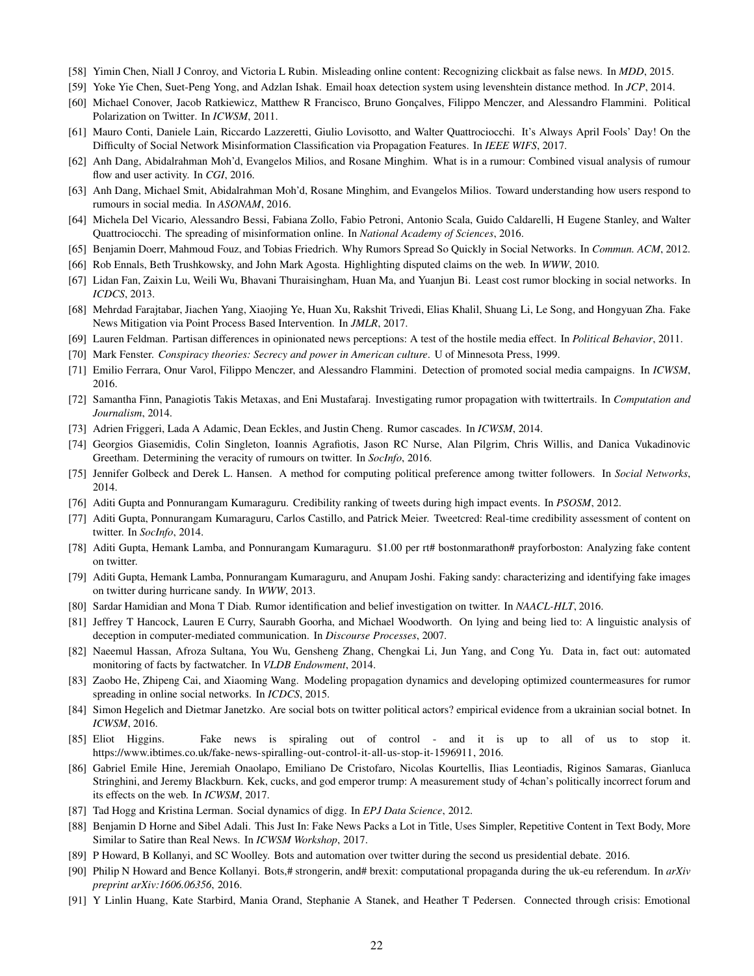- <span id="page-21-19"></span><span id="page-21-2"></span>[58] Yimin Chen, Niall J Conroy, and Victoria L Rubin. Misleading online content: Recognizing clickbait as false news. In *MDD*, 2015.
- <span id="page-21-24"></span>[59] Yoke Yie Chen, Suet-Peng Yong, and Adzlan Ishak. Email hoax detection system using levenshtein distance method. In *JCP*, 2014.
- <span id="page-21-18"></span>[60] Michael Conover, Jacob Ratkiewicz, Matthew R Francisco, Bruno Gonçalves, Filippo Menczer, and Alessandro Flammini. Political Polarization on Twitter. In *ICWSM*, 2011.
- <span id="page-21-12"></span>[61] Mauro Conti, Daniele Lain, Riccardo Lazzeretti, Giulio Lovisotto, and Walter Quattrociocchi. It's Always April Fools' Day! On the Difficulty of Social Network Misinformation Classification via Propagation Features. In *IEEE WIFS*, 2017.
- <span id="page-21-4"></span>[62] Anh Dang, Abidalrahman Moh'd, Evangelos Milios, and Rosane Minghim. What is in a rumour: Combined visual analysis of rumour flow and user activity. In *CGI*, 2016.
- <span id="page-21-11"></span>[63] Anh Dang, Michael Smit, Abidalrahman Moh'd, Rosane Minghim, and Evangelos Milios. Toward understanding how users respond to rumours in social media. In *ASONAM*, 2016.
- [64] Michela Del Vicario, Alessandro Bessi, Fabiana Zollo, Fabio Petroni, Antonio Scala, Guido Caldarelli, H Eugene Stanley, and Walter Quattrociocchi. The spreading of misinformation online. In *National Academy of Sciences*, 2016.
- <span id="page-21-32"></span><span id="page-21-8"></span>[65] Benjamin Doerr, Mahmoud Fouz, and Tobias Friedrich. Why Rumors Spread So Quickly in Social Networks. In *Commun. ACM*, 2012.
- <span id="page-21-21"></span>[66] Rob Ennals, Beth Trushkowsky, and John Mark Agosta. Highlighting disputed claims on the web. In *WWW*, 2010.
- <span id="page-21-17"></span>[67] Lidan Fan, Zaixin Lu, Weili Wu, Bhavani Thuraisingham, Huan Ma, and Yuanjun Bi. Least cost rumor blocking in social networks. In *ICDCS*, 2013.
- [68] Mehrdad Farajtabar, Jiachen Yang, Xiaojing Ye, Huan Xu, Rakshit Trivedi, Elias Khalil, Shuang Li, Le Song, and Hongyuan Zha. Fake News Mitigation via Point Process Based Intervention. In *JMLR*, 2017.
- <span id="page-21-5"></span><span id="page-21-0"></span>[69] Lauren Feldman. Partisan differences in opinionated news perceptions: A test of the hostile media effect. In *Political Behavior*, 2011.
- <span id="page-21-25"></span>[70] Mark Fenster. *Conspiracy theories: Secrecy and power in American culture*. U of Minnesota Press, 1999.
- <span id="page-21-9"></span>[71] Emilio Ferrara, Onur Varol, Filippo Menczer, and Alessandro Flammini. Detection of promoted social media campaigns. In *ICWSM*, 2016.
- <span id="page-21-10"></span>[72] Samantha Finn, Panagiotis Takis Metaxas, and Eni Mustafaraj. Investigating rumor propagation with twittertrails. In *Computation and Journalism*, 2014.
- <span id="page-21-16"></span>[73] Adrien Friggeri, Lada A Adamic, Dean Eckles, and Justin Cheng. Rumor cascades. In *ICWSM*, 2014.
- [74] Georgios Giasemidis, Colin Singleton, Ioannis Agrafiotis, Jason RC Nurse, Alan Pilgrim, Chris Willis, and Danica Vukadinovic Greetham. Determining the veracity of rumours on twitter. In *SocInfo*, 2016.
- <span id="page-21-26"></span><span id="page-21-13"></span>[75] Jennifer Golbeck and Derek L. Hansen. A method for computing political preference among twitter followers. In *Social Networks*, 2014.
- <span id="page-21-14"></span>[76] Aditi Gupta and Ponnurangam Kumaraguru. Credibility ranking of tweets during high impact events. In *PSOSM*, 2012.
- [77] Aditi Gupta, Ponnurangam Kumaraguru, Carlos Castillo, and Patrick Meier. Tweetcred: Real-time credibility assessment of content on twitter. In *SocInfo*, 2014.
- <span id="page-21-33"></span><span id="page-21-7"></span>[78] Aditi Gupta, Hemank Lamba, and Ponnurangam Kumaraguru. \$1.00 per rt# bostonmarathon# prayforboston: Analyzing fake content on twitter.
- [79] Aditi Gupta, Hemank Lamba, Ponnurangam Kumaraguru, and Anupam Joshi. Faking sandy: characterizing and identifying fake images on twitter during hurricane sandy. In *WWW*, 2013.
- <span id="page-21-20"></span><span id="page-21-15"></span>[80] Sardar Hamidian and Mona T Diab. Rumor identification and belief investigation on twitter. In *NAACL-HLT*, 2016.
- [81] Jeffrey T Hancock, Lauren E Curry, Saurabh Goorha, and Michael Woodworth. On lying and being lied to: A linguistic analysis of deception in computer-mediated communication. In *Discourse Processes*, 2007.
- <span id="page-21-31"></span>[82] Naeemul Hassan, Afroza Sultana, You Wu, Gensheng Zhang, Chengkai Li, Jun Yang, and Cong Yu. Data in, fact out: automated monitoring of facts by factwatcher. In *VLDB Endowment*, 2014.
- <span id="page-21-22"></span>[83] Zaobo He, Zhipeng Cai, and Xiaoming Wang. Modeling propagation dynamics and developing optimized countermeasures for rumor spreading in online social networks. In *ICDCS*, 2015.
- <span id="page-21-27"></span>[84] Simon Hegelich and Dietmar Janetzko. Are social bots on twitter political actors? empirical evidence from a ukrainian social botnet. In *ICWSM*, 2016.
- <span id="page-21-3"></span>[85] Eliot Higgins. Fake news is spiraling out of control - and it is up to all of us to stop it. [https://www.ibtimes.co.uk/fake-news-spiralling-out-control-it-all-us-stop-it-1596911,](https://www.ibtimes.co.uk/fake-news-spiralling-out-control-it-all-us-stop-it-1596911) 2016.
- <span id="page-21-1"></span>[86] Gabriel Emile Hine, Jeremiah Onaolapo, Emiliano De Cristofaro, Nicolas Kourtellis, Ilias Leontiadis, Riginos Samaras, Gianluca Stringhini, and Jeremy Blackburn. Kek, cucks, and god emperor trump: A measurement study of 4chan's politically incorrect forum and its effects on the web. In *ICWSM*, 2017.
- <span id="page-21-30"></span><span id="page-21-23"></span>[87] Tad Hogg and Kristina Lerman. Social dynamics of digg. In *EPJ Data Science*, 2012.
- [88] Benjamin D Horne and Sibel Adali. This Just In: Fake News Packs a Lot in Title, Uses Simpler, Repetitive Content in Text Body, More Similar to Satire than Real News. In *ICWSM Workshop*, 2017.
- <span id="page-21-29"></span><span id="page-21-28"></span>[89] P Howard, B Kollanyi, and SC Woolley. Bots and automation over twitter during the second us presidential debate. 2016.
- [90] Philip N Howard and Bence Kollanyi. Bots,# strongerin, and# brexit: computational propaganda during the uk-eu referendum. In *arXiv preprint arXiv:1606.06356*, 2016.
- <span id="page-21-6"></span>[91] Y Linlin Huang, Kate Starbird, Mania Orand, Stephanie A Stanek, and Heather T Pedersen. Connected through crisis: Emotional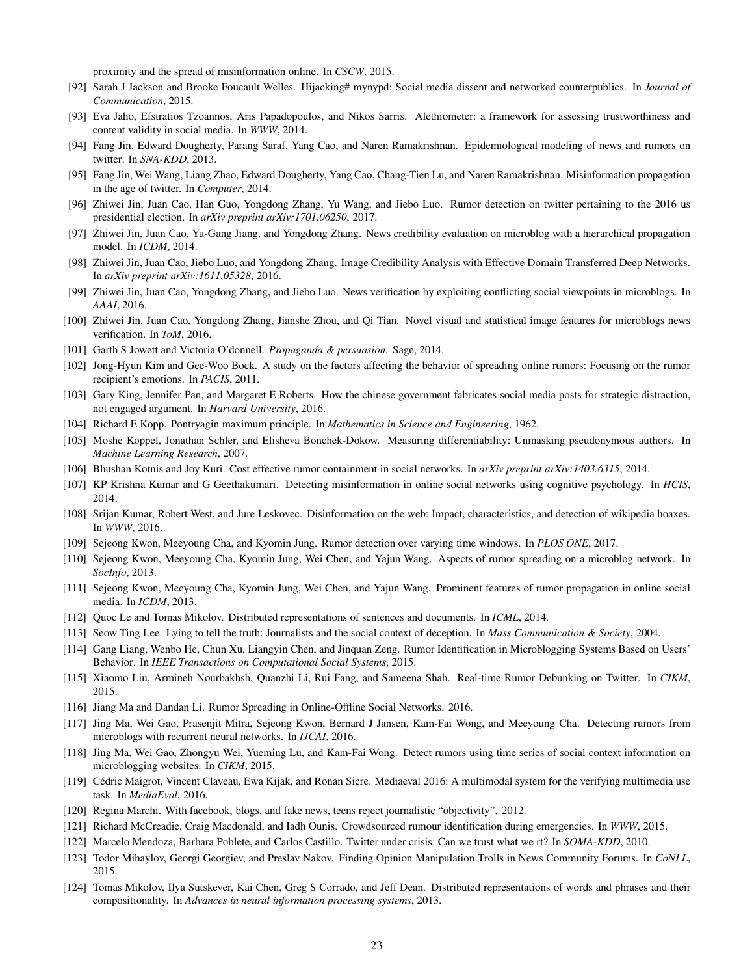proximity and the spread of misinformation online. In *CSCW*, 2015.

- <span id="page-22-27"></span><span id="page-22-15"></span>[92] Sarah J Jackson and Brooke Foucault Welles. Hijacking# mynypd: Social media dissent and networked counterpublics. In *Journal of Communication*, 2015.
- <span id="page-22-9"></span>[93] Eva Jaho, Efstratios Tzoannos, Aris Papadopoulos, and Nikos Sarris. Alethiometer: a framework for assessing trustworthiness and content validity in social media. In *WWW*, 2014.
- <span id="page-22-10"></span>[94] Fang Jin, Edward Dougherty, Parang Saraf, Yang Cao, and Naren Ramakrishnan. Epidemiological modeling of news and rumors on twitter. In *SNA-KDD*, 2013.
- <span id="page-22-28"></span>[95] Fang Jin, Wei Wang, Liang Zhao, Edward Dougherty, Yang Cao, Chang-Tien Lu, and Naren Ramakrishnan. Misinformation propagation in the age of twitter. In *Computer*, 2014.
- [96] Zhiwei Jin, Juan Cao, Han Guo, Yongdong Zhang, Yu Wang, and Jiebo Luo. Rumor detection on twitter pertaining to the 2016 us presidential election. In *arXiv preprint arXiv:1701.06250*, 2017.
- <span id="page-22-32"></span><span id="page-22-22"></span>[97] Zhiwei Jin, Juan Cao, Yu-Gang Jiang, and Yongdong Zhang. News credibility evaluation on microblog with a hierarchical propagation model. In *ICDM*, 2014.
- <span id="page-22-20"></span>[98] Zhiwei Jin, Juan Cao, Jiebo Luo, and Yongdong Zhang. Image Credibility Analysis with Effective Domain Transferred Deep Networks. In *arXiv preprint arXiv:1611.05328*, 2016.
- <span id="page-22-31"></span>[99] Zhiwei Jin, Juan Cao, Yongdong Zhang, and Jiebo Luo. News verification by exploiting conflicting social viewpoints in microblogs. In *AAAI*, 2016.
- <span id="page-22-0"></span>[100] Zhiwei Jin, Juan Cao, Yongdong Zhang, Jianshe Zhou, and Qi Tian. Novel visual and statistical image features for microblogs news verification. In *ToM*, 2016.
- <span id="page-22-7"></span>[101] Garth S Jowett and Victoria O'donnell. *Propaganda & persuasion*. Sage, 2014.
- [102] Jong-Hyun Kim and Gee-Woo Bock. A study on the factors affecting the behavior of spreading online rumors: Focusing on the rumor recipient's emotions. In *PACIS*, 2011.
- <span id="page-22-29"></span>[103] Gary King, Jennifer Pan, and Margaret E Roberts. How the chinese government fabricates social media posts for strategic distraction, not engaged argument. In *Harvard University*, 2016.
- <span id="page-22-26"></span><span id="page-22-24"></span>[104] Richard E Kopp. Pontryagin maximum principle. In *Mathematics in Science and Engineering*, 1962.
- [105] Moshe Koppel, Jonathan Schler, and Elisheva Bonchek-Dokow. Measuring differentiability: Unmasking pseudonymous authors. In *Machine Learning Research*, 2007.
- <span id="page-22-25"></span><span id="page-22-16"></span>[106] Bhushan Kotnis and Joy Kuri. Cost effective rumor containment in social networks. In *arXiv preprint arXiv:1403.6315*, 2014.
- <span id="page-22-1"></span>[107] KP Krishna Kumar and G Geethakumari. Detecting misinformation in online social networks using cognitive psychology. In *HCIS*, 2014.
- [108] Srijan Kumar, Robert West, and Jure Leskovec. Disinformation on the web: Impact, characteristics, and detection of wikipedia hoaxes. In *WWW*, 2016.
- <span id="page-22-14"></span><span id="page-22-4"></span>[109] Sejeong Kwon, Meeyoung Cha, and Kyomin Jung. Rumor detection over varying time windows. In *PLOS ONE*, 2017.
- [110] Sejeong Kwon, Meeyoung Cha, Kyomin Jung, Wei Chen, and Yajun Wang. Aspects of rumor spreading on a microblog network. In *SocInfo*, 2013.
- <span id="page-22-12"></span>[111] Sejeong Kwon, Meeyoung Cha, Kyomin Jung, Wei Chen, and Yajun Wang. Prominent features of rumor propagation in online social media. In *ICDM*, 2013.
- <span id="page-22-30"></span><span id="page-22-2"></span>[112] Quoc Le and Tomas Mikolov. Distributed representations of sentences and documents. In *ICML*, 2014.
- <span id="page-22-17"></span>[113] Seow Ting Lee. Lying to tell the truth: Journalists and the social context of deception. In *Mass Communication & Society*, 2004.
- [114] Gang Liang, Wenbo He, Chun Xu, Liangyin Chen, and Jinquan Zeng. Rumor Identification in Microblogging Systems Based on Users' Behavior. In *IEEE Transactions on Computational Social Systems*, 2015.
- <span id="page-22-13"></span><span id="page-22-11"></span>[115] Xiaomo Liu, Armineh Nourbakhsh, Quanzhi Li, Rui Fang, and Sameena Shah. Real-time Rumor Debunking on Twitter. In *CIKM*, 2015.
- <span id="page-22-19"></span>[116] Jiang Ma and Dandan Li. Rumor Spreading in Online-Offline Social Networks. 2016.
- [117] Jing Ma, Wei Gao, Prasenjit Mitra, Sejeong Kwon, Bernard J Jansen, Kam-Fai Wong, and Meeyoung Cha. Detecting rumors from microblogs with recurrent neural networks. In *IJCAI*, 2016.
- <span id="page-22-18"></span>[118] Jing Ma, Wei Gao, Zhongyu Wei, Yueming Lu, and Kam-Fai Wong. Detect rumors using time series of social context information on microblogging websites. In *CIKM*, 2015.
- <span id="page-22-21"></span>[119] Cédric Maigrot, Vincent Claveau, Ewa Kijak, and Ronan Sicre. Mediaeval 2016: A multimodal system for the verifying multimedia use task. In *MediaEval*, 2016.
- <span id="page-22-6"></span><span id="page-22-5"></span>[120] Regina Marchi. With facebook, blogs, and fake news, teens reject journalistic "objectivity". 2012.
- <span id="page-22-8"></span>[121] Richard McCreadie, Craig Macdonald, and Iadh Ounis. Crowdsourced rumour identification during emergencies. In *WWW*, 2015.
- <span id="page-22-3"></span>[122] Marcelo Mendoza, Barbara Poblete, and Carlos Castillo. Twitter under crisis: Can we trust what we rt? In *SOMA-KDD*, 2010.
- [123] Todor Mihaylov, Georgi Georgiev, and Preslav Nakov. Finding Opinion Manipulation Trolls in News Community Forums. In *CoNLL*, 2015.
- <span id="page-22-23"></span>[124] Tomas Mikolov, Ilya Sutskever, Kai Chen, Greg S Corrado, and Jeff Dean. Distributed representations of words and phrases and their compositionality. In *Advances in neural information processing systems*, 2013.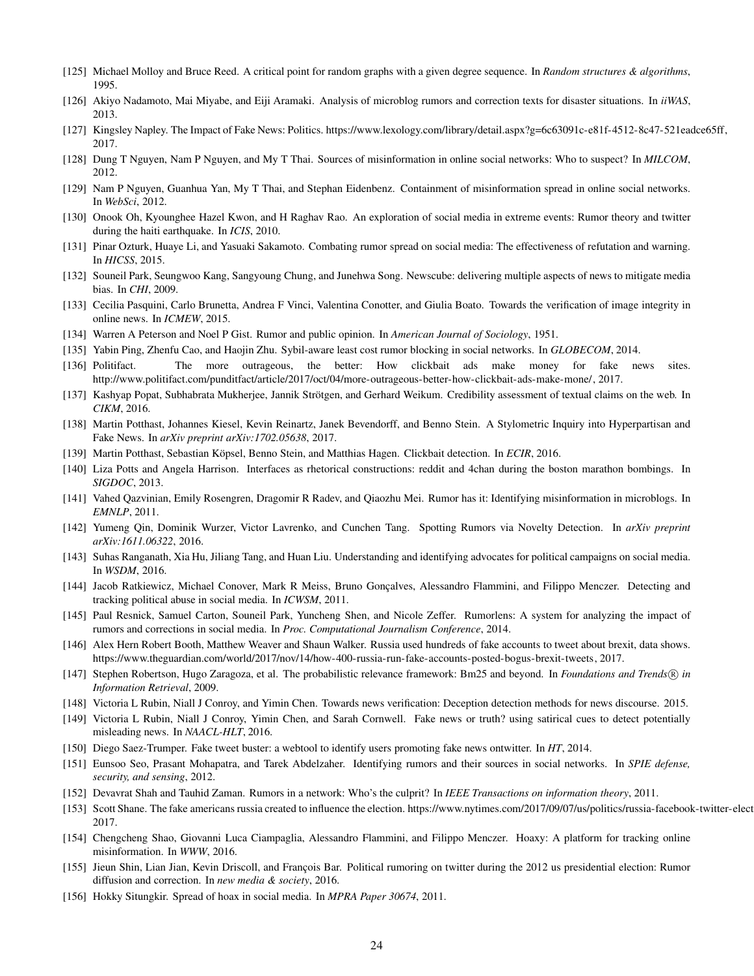- <span id="page-23-20"></span><span id="page-23-8"></span>[125] Michael Molloy and Bruce Reed. A critical point for random graphs with a given degree sequence. In *Random structures & algorithms*, 1995.
- <span id="page-23-4"></span>[126] Akiyo Nadamoto, Mai Miyabe, and Eiji Aramaki. Analysis of microblog rumors and correction texts for disaster situations. In *iiWAS*, 2013.
- <span id="page-23-13"></span>[127] Kingsley Napley. The Impact of Fake News: Politics. [https://www.lexology.com/library/detail.aspx?g=6c63091c-e81f-4512-8c47-521eadce65ff,](https://www.lexology.com/library/detail.aspx?g=6c63091c-e81f-4512-8c47-521eadce65ff) 2017.
- <span id="page-23-22"></span>[128] Dung T Nguyen, Nam P Nguyen, and My T Thai. Sources of misinformation in online social networks: Who to suspect? In *MILCOM*, 2012.
- <span id="page-23-6"></span>[129] Nam P Nguyen, Guanhua Yan, My T Thai, and Stephan Eidenbenz. Containment of misinformation spread in online social networks. In *WebSci*, 2012.
- [130] Onook Oh, Kyounghee Hazel Kwon, and H Raghav Rao. An exploration of social media in extreme events: Rumor theory and twitter during the haiti earthquake. In *ICIS*, 2010.
- <span id="page-23-29"></span><span id="page-23-5"></span>[131] Pinar Ozturk, Huaye Li, and Yasuaki Sakamoto. Combating rumor spread on social media: The effectiveness of refutation and warning. In *HICSS*, 2015.
- <span id="page-23-31"></span>[132] Souneil Park, Seungwoo Kang, Sangyoung Chung, and Junehwa Song. Newscube: delivering multiple aspects of news to mitigate media bias. In *CHI*, 2009.
- <span id="page-23-2"></span>[133] Cecilia Pasquini, Carlo Brunetta, Andrea F Vinci, Valentina Conotter, and Giulia Boato. Towards the verification of image integrity in online news. In *ICMEW*, 2015.
- <span id="page-23-21"></span>[134] Warren A Peterson and Noel P Gist. Rumor and public opinion. In *American Journal of Sociology*, 1951.
- <span id="page-23-3"></span>[135] Yabin Ping, Zhenfu Cao, and Haojin Zhu. Sybil-aware least cost rumor blocking in social networks. In *GLOBECOM*, 2014.
- [136] Politifact. The more outrageous, the better: How clickbait ads make money for fake news sites. [http://www.politifact.com/punditfact/article/2017/oct/04/more-outrageous-better-how-clickbait-ads-make-mone/,](http://www.politifact.com/punditfact/article/2017/oct/04/more-outrageous-better-how-clickbait-ads-make-mone/) 2017.
- <span id="page-23-17"></span><span id="page-23-1"></span>[137] Kashyap Popat, Subhabrata Mukherjee, Jannik Strötgen, and Gerhard Weikum. Credibility assessment of textual claims on the web. In *CIKM*, 2016.
- [138] Martin Potthast, Johannes Kiesel, Kevin Reinartz, Janek Bevendorff, and Benno Stein. A Stylometric Inquiry into Hyperpartisan and Fake News. In *arXiv preprint arXiv:1702.05638*, 2017.
- <span id="page-23-19"></span><span id="page-23-10"></span>[139] Martin Potthast, Sebastian Köpsel, Benno Stein, and Matthias Hagen. Clickbait detection. In *ECIR*, 2016.
- <span id="page-23-15"></span>[140] Liza Potts and Angela Harrison. Interfaces as rhetorical constructions: reddit and 4chan during the boston marathon bombings. In *SIGDOC*, 2013.
- [141] Vahed Qazvinian, Emily Rosengren, Dragomir R Radev, and Qiaozhu Mei. Rumor has it: Identifying misinformation in microblogs. In *EMNLP*, 2011.
- <span id="page-23-16"></span>[142] Yumeng Qin, Dominik Wurzer, Victor Lavrenko, and Cunchen Tang. Spotting Rumors via Novelty Detection. In *arXiv preprint arXiv:1611.06322*, 2016.
- <span id="page-23-25"></span><span id="page-23-23"></span>[143] Suhas Ranganath, Xia Hu, Jiliang Tang, and Huan Liu. Understanding and identifying advocates for political campaigns on social media. In *WSDM*, 2016.
- [144] Jacob Ratkiewicz, Michael Conover, Mark R Meiss, Bruno Gonçalves, Alessandro Flammini, and Filippo Menczer. Detecting and tracking political abuse in social media. In *ICWSM*, 2011.
- <span id="page-23-14"></span>[145] Paul Resnick, Samuel Carton, Souneil Park, Yuncheng Shen, and Nicole Zeffer. Rumorlens: A system for analyzing the impact of rumors and corrections in social media. In *Proc. Computational Journalism Conference*, 2014.
- <span id="page-23-27"></span>[146] Alex Hern Robert Booth, Matthew Weaver and Shaun Walker. Russia used hundreds of fake accounts to tweet about brexit, data shows. [https://www.theguardian.com/world/2017/nov/14/how-400-russia-run-fake-accounts-posted-bogus-brexit-tweets,](https://www.theguardian.com/world/2017/nov/14/how-400-russia-run-fake-accounts-posted-bogus-brexit-tweets) 2017.
- <span id="page-23-26"></span>[147] Stephen Robertson, Hugo Zaragoza, et al. The probabilistic relevance framework: Bm25 and beyond. In *Foundations and Trends* <sup>R</sup> *in Information Retrieval*, 2009.
- <span id="page-23-18"></span><span id="page-23-0"></span>[148] Victoria L Rubin, Niall J Conroy, and Yimin Chen. Towards news verification: Deception detection methods for news discourse. 2015.
- [149] Victoria L Rubin, Niall J Conroy, Yimin Chen, and Sarah Cornwell. Fake news or truth? using satirical cues to detect potentially misleading news. In *NAACL-HLT*, 2016.
- <span id="page-23-30"></span><span id="page-23-12"></span>[150] Diego Saez-Trumper. Fake tweet buster: a webtool to identify users promoting fake news ontwitter. In *HT*, 2014.
- [151] Eunsoo Seo, Prasant Mohapatra, and Tarek Abdelzaher. Identifying rumors and their sources in social networks. In *SPIE defense, security, and sensing*, 2012.
- <span id="page-23-28"></span><span id="page-23-11"></span>[152] Devavrat Shah and Tauhid Zaman. Rumors in a network: Who's the culprit? In *IEEE Transactions on information theory*, 2011.
- <span id="page-23-9"></span>[153] Scott Shane. The fake americans russia created to influence the election. https://www.nytimes.com/2017/09/07/us/politics/russia-facebook-twitter-elect 2017.
- [154] Chengcheng Shao, Giovanni Luca Ciampaglia, Alessandro Flammini, and Filippo Menczer. Hoaxy: A platform for tracking online misinformation. In *WWW*, 2016.
- <span id="page-23-24"></span>[155] Jieun Shin, Lian Jian, Kevin Driscoll, and François Bar. Political rumoring on twitter during the 2012 us presidential election: Rumor diffusion and correction. In *new media & society*, 2016.
- <span id="page-23-7"></span>[156] Hokky Situngkir. Spread of hoax in social media. In *MPRA Paper 30674*, 2011.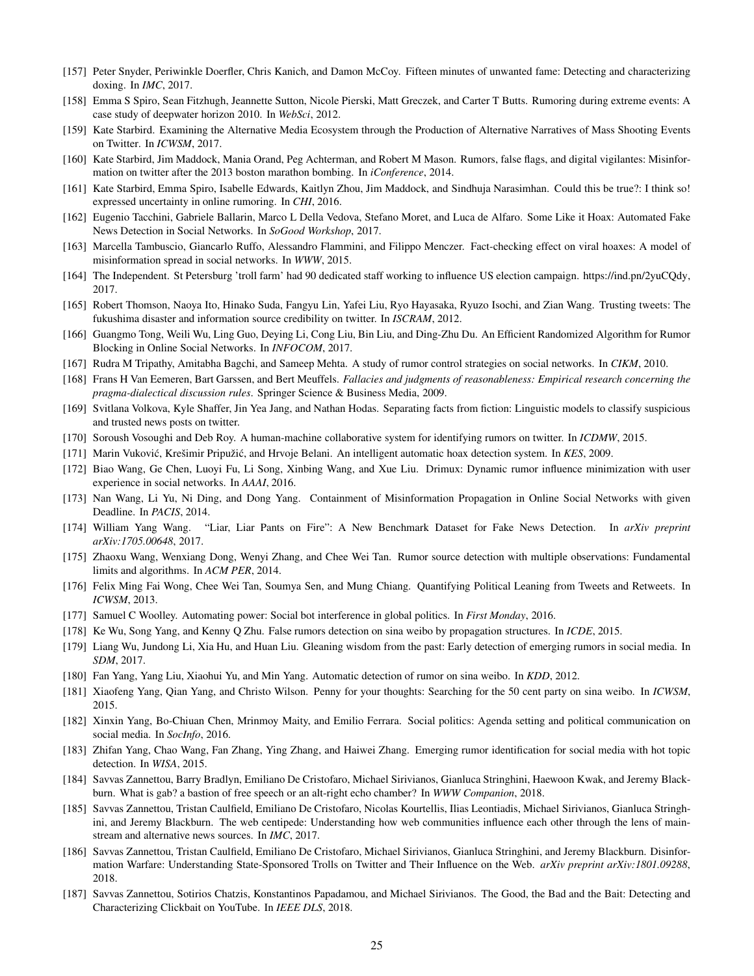- <span id="page-24-5"></span>[157] Peter Snyder, Periwinkle Doerfler, Chris Kanich, and Damon McCoy. Fifteen minutes of unwanted fame: Detecting and characterizing doxing. In *IMC*, 2017.
- <span id="page-24-28"></span>[158] Emma S Spiro, Sean Fitzhugh, Jeannette Sutton, Nicole Pierski, Matt Greczek, and Carter T Butts. Rumoring during extreme events: A case study of deepwater horizon 2010. In *WebSci*, 2012.
- <span id="page-24-29"></span><span id="page-24-7"></span>[159] Kate Starbird. Examining the Alternative Media Ecosystem through the Production of Alternative Narratives of Mass Shooting Events on Twitter. In *ICWSM*, 2017.
- <span id="page-24-30"></span>[160] Kate Starbird, Jim Maddock, Mania Orand, Peg Achterman, and Robert M Mason. Rumors, false flags, and digital vigilantes: Misinformation on twitter after the 2013 boston marathon bombing. In *iConference*, 2014.
- [161] Kate Starbird, Emma Spiro, Isabelle Edwards, Kaitlyn Zhou, Jim Maddock, and Sindhuja Narasimhan. Could this be true?: I think so! expressed uncertainty in online rumoring. In *CHI*, 2016.
- <span id="page-24-15"></span>[162] Eugenio Tacchini, Gabriele Ballarin, Marco L Della Vedova, Stefano Moret, and Luca de Alfaro. Some Like it Hoax: Automated Fake News Detection in Social Networks. In *SoGood Workshop*, 2017.
- <span id="page-24-23"></span>[163] Marcella Tambuscio, Giancarlo Ruffo, Alessandro Flammini, and Filippo Menczer. Fact-checking effect on viral hoaxes: A model of misinformation spread in social networks. In *WWW*, 2015.
- <span id="page-24-6"></span><span id="page-24-0"></span>[164] The Independent. St Petersburg 'troll farm' had 90 dedicated staff working to influence US election campaign. [https://ind.pn/2yuCQdy,](https://ind.pn/2yuCQdy) 2017.
- <span id="page-24-21"></span>[165] Robert Thomson, Naoya Ito, Hinako Suda, Fangyu Lin, Yafei Liu, Ryo Hayasaka, Ryuzo Isochi, and Zian Wang. Trusting tweets: The fukushima disaster and information source credibility on twitter. In *ISCRAM*, 2012.
- [166] Guangmo Tong, Weili Wu, Ling Guo, Deying Li, Cong Liu, Bin Liu, and Ding-Zhu Du. An Efficient Randomized Algorithm for Rumor Blocking in Online Social Networks. In *INFOCOM*, 2017.
- <span id="page-24-19"></span><span id="page-24-3"></span>[167] Rudra M Tripathy, Amitabha Bagchi, and Sameep Mehta. A study of rumor control strategies on social networks. In *CIKM*, 2010.
- [168] Frans H Van Eemeren, Bart Garssen, and Bert Meuffels. *Fallacies and judgments of reasonableness: Empirical research concerning the pragma-dialectical discussion rules*. Springer Science & Business Media, 2009.
- <span id="page-24-12"></span><span id="page-24-11"></span>[169] Svitlana Volkova, Kyle Shaffer, Jin Yea Jang, and Nathan Hodas. Separating facts from fiction: Linguistic models to classify suspicious and trusted news posts on twitter.
- <span id="page-24-17"></span>[170] Soroush Vosoughi and Deb Roy. A human-machine collaborative system for identifying rumors on twitter. In *ICDMW*, 2015.
- <span id="page-24-22"></span>[171] Marin Vuković, Krešimir Pripužić, and Hrvoje Belani. An intelligent automatic hoax detection system. In *KES*, 2009.
- [172] Biao Wang, Ge Chen, Luoyi Fu, Li Song, Xinbing Wang, and Xue Liu. Drimux: Dynamic rumor influence minimization with user experience in social networks. In *AAAI*, 2016.
- <span id="page-24-20"></span>[173] Nan Wang, Li Yu, Ni Ding, and Dong Yang. Containment of Misinformation Propagation in Online Social Networks with given Deadline. In *PACIS*, 2014.
- <span id="page-24-16"></span>[174] William Yang Wang. "Liar, Liar Pants on Fire": A New Benchmark Dataset for Fake News Detection. In *arXiv preprint arXiv:1705.00648*, 2017.
- <span id="page-24-8"></span>[175] Zhaoxu Wang, Wenxiang Dong, Wenyi Zhang, and Chee Wei Tan. Rumor source detection with multiple observations: Fundamental limits and algorithms. In *ACM PER*, 2014.
- <span id="page-24-27"></span><span id="page-24-24"></span>[176] Felix Ming Fai Wong, Chee Wei Tan, Soumya Sen, and Mung Chiang. Quantifying Political Leaning from Tweets and Retweets. In *ICWSM*, 2013.
- <span id="page-24-14"></span>[177] Samuel C Woolley. Automating power: Social bot interference in global politics. In *First Monday*, 2016.
- <span id="page-24-10"></span>[178] Ke Wu, Song Yang, and Kenny Q Zhu. False rumors detection on sina weibo by propagation structures. In *ICDE*, 2015.
- [179] Liang Wu, Jundong Li, Xia Hu, and Huan Liu. Gleaning wisdom from the past: Early detection of emerging rumors in social media. In *SDM*, 2017.
- <span id="page-24-26"></span><span id="page-24-13"></span>[180] Fan Yang, Yang Liu, Xiaohui Yu, and Min Yang. Automatic detection of rumor on sina weibo. In *KDD*, 2012.
- <span id="page-24-25"></span>[181] Xiaofeng Yang, Qian Yang, and Christo Wilson. Penny for your thoughts: Searching for the 50 cent party on sina weibo. In *ICWSM*, 2015.
- [182] Xinxin Yang, Bo-Chiuan Chen, Mrinmoy Maity, and Emilio Ferrara. Social politics: Agenda setting and political communication on social media. In *SocInfo*, 2016.
- <span id="page-24-9"></span>[183] Zhifan Yang, Chao Wang, Fan Zhang, Ying Zhang, and Haiwei Zhang. Emerging rumor identification for social media with hot topic detection. In *WISA*, 2015.
- <span id="page-24-2"></span>[184] Savvas Zannettou, Barry Bradlyn, Emiliano De Cristofaro, Michael Sirivianos, Gianluca Stringhini, Haewoon Kwak, and Jeremy Blackburn. What is gab? a bastion of free speech or an alt-right echo chamber? In *WWW Companion*, 2018.
- <span id="page-24-4"></span>[185] Savvas Zannettou, Tristan Caulfield, Emiliano De Cristofaro, Nicolas Kourtellis, Ilias Leontiadis, Michael Sirivianos, Gianluca Stringhini, and Jeremy Blackburn. The web centipede: Understanding how web communities influence each other through the lens of mainstream and alternative news sources. In *IMC*, 2017.
- <span id="page-24-1"></span>[186] Savvas Zannettou, Tristan Caulfield, Emiliano De Cristofaro, Michael Sirivianos, Gianluca Stringhini, and Jeremy Blackburn. Disinformation Warfare: Understanding State-Sponsored Trolls on Twitter and Their Influence on the Web. *arXiv preprint arXiv:1801.09288*, 2018.
- <span id="page-24-18"></span>[187] Savvas Zannettou, Sotirios Chatzis, Konstantinos Papadamou, and Michael Sirivianos. The Good, the Bad and the Bait: Detecting and Characterizing Clickbait on YouTube. In *IEEE DLS*, 2018.